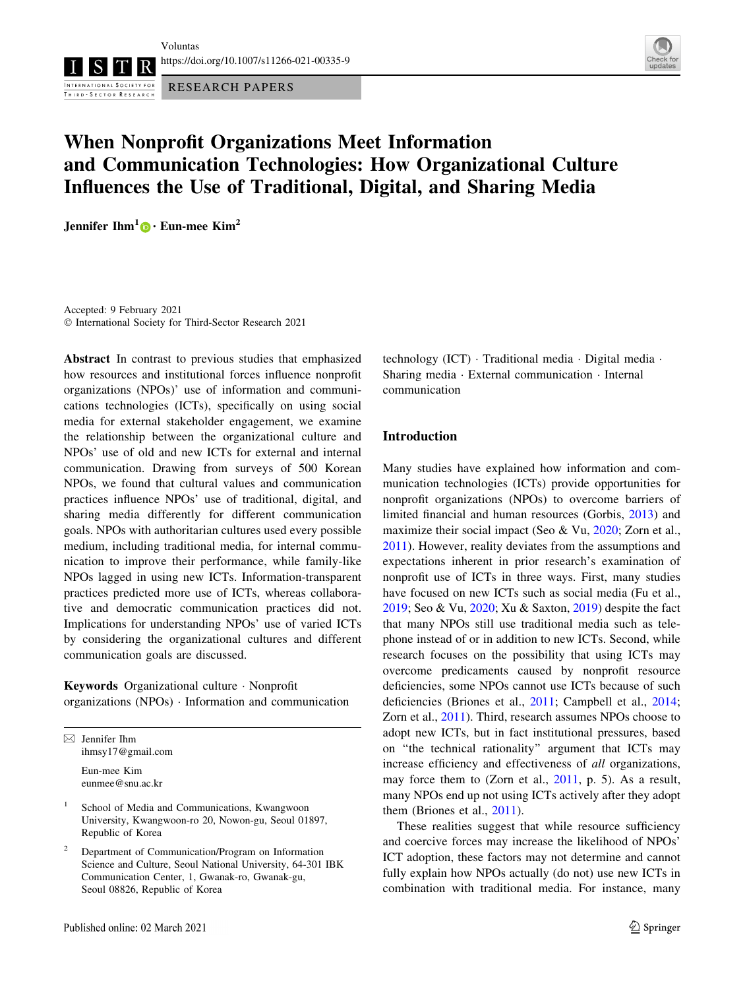Voluntas

<https://doi.org/10.1007/s11266-021-00335-9>

INTERNATIONAL SOCIETY FOR RESEARCH PAPERS THIRD - SECTOR RESEARCH



# When Nonprofit Organizations Meet Information and Communication Technologies: How Organizational Culture Influences the Use of Traditional, Digital, and Sharing Media

Jennifer Ihm<sup>1</sup> [•](http://orcid.org/0000-0001-7039-4162) Eun-mee Kim<sup>2</sup>

Accepted: 9 February 2021 - International Society for Third-Sector Research 2021

Abstract In contrast to previous studies that emphasized how resources and institutional forces influence nonprofit organizations (NPOs)' use of information and communications technologies (ICTs), specifically on using social media for external stakeholder engagement, we examine the relationship between the organizational culture and NPOs' use of old and new ICTs for external and internal communication. Drawing from surveys of 500 Korean NPOs, we found that cultural values and communication practices influence NPOs' use of traditional, digital, and sharing media differently for different communication goals. NPOs with authoritarian cultures used every possible medium, including traditional media, for internal communication to improve their performance, while family-like NPOs lagged in using new ICTs. Information-transparent practices predicted more use of ICTs, whereas collaborative and democratic communication practices did not. Implications for understanding NPOs' use of varied ICTs by considering the organizational cultures and different communication goals are discussed.

Keywords Organizational culture - Nonprofit organizations (NPOs) - Information and communication

 $\boxtimes$  Jennifer Ihm ihmsy17@gmail.com

> Eun-mee Kim eunmee@snu.ac.kr

- <sup>1</sup> School of Media and Communications, Kwangwoon University, Kwangwoon-ro 20, Nowon-gu, Seoul 01897, Republic of Korea
- <sup>2</sup> Department of Communication/Program on Information Science and Culture, Seoul National University, 64-301 IBK Communication Center, 1, Gwanak-ro, Gwanak-gu, Seoul 08826, Republic of Korea

technology (ICT) - Traditional media - Digital media - Sharing media - External communication - Internal communication

# Introduction

Many studies have explained how information and communication technologies (ICTs) provide opportunities for nonprofit organizations (NPOs) to overcome barriers of limited financial and human resources (Gorbis, [2013\)](#page-15-0) and maximize their social impact (Seo & Vu, [2020](#page-16-0); Zorn et al., [2011](#page-16-0)). However, reality deviates from the assumptions and expectations inherent in prior research's examination of nonprofit use of ICTs in three ways. First, many studies have focused on new ICTs such as social media (Fu et al., [2019](#page-15-0); Seo & Vu, [2020;](#page-16-0) Xu & Saxton, [2019](#page-16-0)) despite the fact that many NPOs still use traditional media such as telephone instead of or in addition to new ICTs. Second, while research focuses on the possibility that using ICTs may overcome predicaments caused by nonprofit resource deficiencies, some NPOs cannot use ICTs because of such deficiencies (Briones et al., [2011;](#page-15-0) Campbell et al., [2014](#page-15-0); Zorn et al., [2011\)](#page-16-0). Third, research assumes NPOs choose to adopt new ICTs, but in fact institutional pressures, based on ''the technical rationality'' argument that ICTs may increase efficiency and effectiveness of all organizations, may force them to (Zorn et al., [2011,](#page-16-0) p. 5). As a result, many NPOs end up not using ICTs actively after they adopt them (Briones et al., [2011](#page-15-0)).

These realities suggest that while resource sufficiency and coercive forces may increase the likelihood of NPOs' ICT adoption, these factors may not determine and cannot fully explain how NPOs actually (do not) use new ICTs in combination with traditional media. For instance, many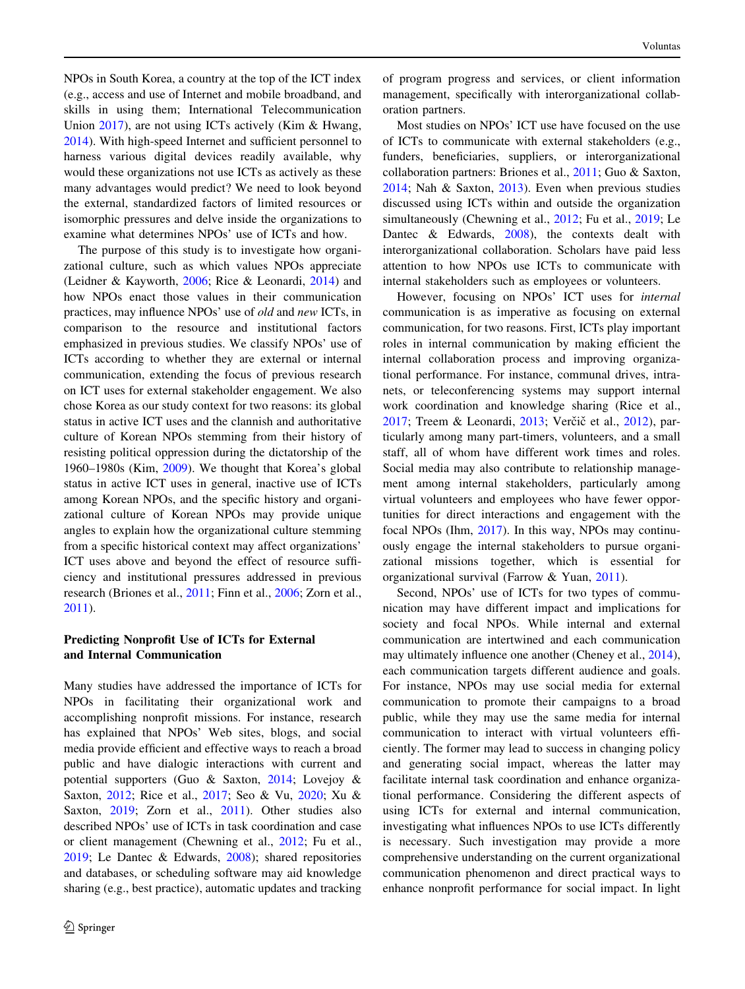NPOs in South Korea, a country at the top of the ICT index (e.g., access and use of Internet and mobile broadband, and skills in using them; International Telecommunication Union [2017](#page-15-0)), are not using ICTs actively (Kim & Hwang, [2014\)](#page-15-0). With high-speed Internet and sufficient personnel to harness various digital devices readily available, why would these organizations not use ICTs as actively as these many advantages would predict? We need to look beyond the external, standardized factors of limited resources or isomorphic pressures and delve inside the organizations to examine what determines NPOs' use of ICTs and how.

The purpose of this study is to investigate how organizational culture, such as which values NPOs appreciate (Leidner & Kayworth, [2006](#page-16-0); Rice & Leonardi, [2014\)](#page-16-0) and how NPOs enact those values in their communication practices, may influence NPOs' use of old and new ICTs, in comparison to the resource and institutional factors emphasized in previous studies. We classify NPOs' use of ICTs according to whether they are external or internal communication, extending the focus of previous research on ICT uses for external stakeholder engagement. We also chose Korea as our study context for two reasons: its global status in active ICT uses and the clannish and authoritative culture of Korean NPOs stemming from their history of resisting political oppression during the dictatorship of the 1960–1980s (Kim, [2009](#page-15-0)). We thought that Korea's global status in active ICT uses in general, inactive use of ICTs among Korean NPOs, and the specific history and organizational culture of Korean NPOs may provide unique angles to explain how the organizational culture stemming from a specific historical context may affect organizations' ICT uses above and beyond the effect of resource sufficiency and institutional pressures addressed in previous research (Briones et al., [2011;](#page-15-0) Finn et al., [2006;](#page-15-0) Zorn et al., [2011\)](#page-16-0).

# Predicting Nonprofit Use of ICTs for External and Internal Communication

Many studies have addressed the importance of ICTs for NPOs in facilitating their organizational work and accomplishing nonprofit missions. For instance, research has explained that NPOs' Web sites, blogs, and social media provide efficient and effective ways to reach a broad public and have dialogic interactions with current and potential supporters (Guo & Saxton, [2014](#page-15-0); Lovejoy & Saxton, [2012](#page-16-0); Rice et al., [2017](#page-16-0); Seo & Vu, [2020](#page-16-0); Xu & Saxton, [2019;](#page-16-0) Zorn et al., [2011\)](#page-16-0). Other studies also described NPOs' use of ICTs in task coordination and case or client management (Chewning et al., [2012](#page-15-0); Fu et al., [2019;](#page-15-0) Le Dantec & Edwards, [2008\)](#page-16-0); shared repositories and databases, or scheduling software may aid knowledge sharing (e.g., best practice), automatic updates and tracking of program progress and services, or client information management, specifically with interorganizational collaboration partners.

Most studies on NPOs' ICT use have focused on the use of ICTs to communicate with external stakeholders (e.g., funders, beneficiaries, suppliers, or interorganizational collaboration partners: Briones et al., [2011](#page-15-0); Guo & Saxton, [2014](#page-15-0); Nah & Saxton, [2013\)](#page-16-0). Even when previous studies discussed using ICTs within and outside the organization simultaneously (Chewning et al., [2012;](#page-15-0) Fu et al., [2019;](#page-15-0) Le Dantec & Edwards, [2008\)](#page-16-0), the contexts dealt with interorganizational collaboration. Scholars have paid less attention to how NPOs use ICTs to communicate with internal stakeholders such as employees or volunteers.

However, focusing on NPOs' ICT uses for internal communication is as imperative as focusing on external communication, for two reasons. First, ICTs play important roles in internal communication by making efficient the internal collaboration process and improving organizational performance. For instance, communal drives, intranets, or teleconferencing systems may support internal work coordination and knowledge sharing (Rice et al., [2017](#page-16-0); Treem & Leonardi, [2013;](#page-16-0) Verčič et al., [2012\)](#page-16-0), particularly among many part-timers, volunteers, and a small staff, all of whom have different work times and roles. Social media may also contribute to relationship management among internal stakeholders, particularly among virtual volunteers and employees who have fewer opportunities for direct interactions and engagement with the focal NPOs (Ihm, [2017\)](#page-15-0). In this way, NPOs may continuously engage the internal stakeholders to pursue organizational missions together, which is essential for organizational survival (Farrow & Yuan, [2011](#page-15-0)).

Second, NPOs' use of ICTs for two types of communication may have different impact and implications for society and focal NPOs. While internal and external communication are intertwined and each communication may ultimately influence one another (Cheney et al., [2014](#page-15-0)), each communication targets different audience and goals. For instance, NPOs may use social media for external communication to promote their campaigns to a broad public, while they may use the same media for internal communication to interact with virtual volunteers efficiently. The former may lead to success in changing policy and generating social impact, whereas the latter may facilitate internal task coordination and enhance organizational performance. Considering the different aspects of using ICTs for external and internal communication, investigating what influences NPOs to use ICTs differently is necessary. Such investigation may provide a more comprehensive understanding on the current organizational communication phenomenon and direct practical ways to enhance nonprofit performance for social impact. In light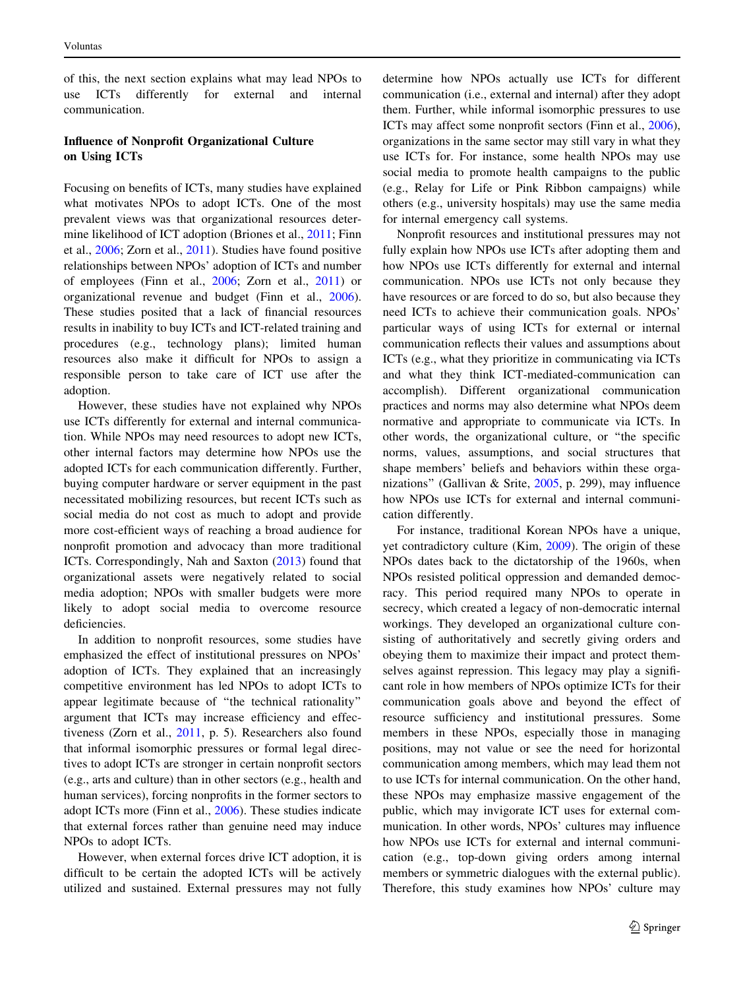of this, the next section explains what may lead NPOs to use ICTs differently for external and internal communication.

# Influence of Nonprofit Organizational Culture on Using ICTs

Focusing on benefits of ICTs, many studies have explained what motivates NPOs to adopt ICTs. One of the most prevalent views was that organizational resources determine likelihood of ICT adoption (Briones et al., [2011](#page-15-0); Finn et al., [2006](#page-15-0); Zorn et al., [2011\)](#page-16-0). Studies have found positive relationships between NPOs' adoption of ICTs and number of employees (Finn et al., [2006;](#page-15-0) Zorn et al., [2011](#page-16-0)) or organizational revenue and budget (Finn et al., [2006](#page-15-0)). These studies posited that a lack of financial resources results in inability to buy ICTs and ICT-related training and procedures (e.g., technology plans); limited human resources also make it difficult for NPOs to assign a responsible person to take care of ICT use after the adoption.

However, these studies have not explained why NPOs use ICTs differently for external and internal communication. While NPOs may need resources to adopt new ICTs, other internal factors may determine how NPOs use the adopted ICTs for each communication differently. Further, buying computer hardware or server equipment in the past necessitated mobilizing resources, but recent ICTs such as social media do not cost as much to adopt and provide more cost-efficient ways of reaching a broad audience for nonprofit promotion and advocacy than more traditional ICTs. Correspondingly, Nah and Saxton [\(2013](#page-16-0)) found that organizational assets were negatively related to social media adoption; NPOs with smaller budgets were more likely to adopt social media to overcome resource deficiencies.

In addition to nonprofit resources, some studies have emphasized the effect of institutional pressures on NPOs' adoption of ICTs. They explained that an increasingly competitive environment has led NPOs to adopt ICTs to appear legitimate because of ''the technical rationality'' argument that ICTs may increase efficiency and effectiveness (Zorn et al., [2011](#page-16-0), p. 5). Researchers also found that informal isomorphic pressures or formal legal directives to adopt ICTs are stronger in certain nonprofit sectors (e.g., arts and culture) than in other sectors (e.g., health and human services), forcing nonprofits in the former sectors to adopt ICTs more (Finn et al., [2006\)](#page-15-0). These studies indicate that external forces rather than genuine need may induce NPOs to adopt ICTs.

However, when external forces drive ICT adoption, it is difficult to be certain the adopted ICTs will be actively utilized and sustained. External pressures may not fully determine how NPOs actually use ICTs for different communication (i.e., external and internal) after they adopt them. Further, while informal isomorphic pressures to use ICTs may affect some nonprofit sectors (Finn et al., [2006](#page-15-0)), organizations in the same sector may still vary in what they use ICTs for. For instance, some health NPOs may use social media to promote health campaigns to the public (e.g., Relay for Life or Pink Ribbon campaigns) while others (e.g., university hospitals) may use the same media for internal emergency call systems.

Nonprofit resources and institutional pressures may not fully explain how NPOs use ICTs after adopting them and how NPOs use ICTs differently for external and internal communication. NPOs use ICTs not only because they have resources or are forced to do so, but also because they need ICTs to achieve their communication goals. NPOs' particular ways of using ICTs for external or internal communication reflects their values and assumptions about ICTs (e.g., what they prioritize in communicating via ICTs and what they think ICT-mediated-communication can accomplish). Different organizational communication practices and norms may also determine what NPOs deem normative and appropriate to communicate via ICTs. In other words, the organizational culture, or ''the specific norms, values, assumptions, and social structures that shape members' beliefs and behaviors within these organizations'' (Gallivan & Srite, [2005](#page-15-0), p. 299), may influence how NPOs use ICTs for external and internal communication differently.

For instance, traditional Korean NPOs have a unique, yet contradictory culture (Kim, [2009\)](#page-15-0). The origin of these NPOs dates back to the dictatorship of the 1960s, when NPOs resisted political oppression and demanded democracy. This period required many NPOs to operate in secrecy, which created a legacy of non-democratic internal workings. They developed an organizational culture consisting of authoritatively and secretly giving orders and obeying them to maximize their impact and protect themselves against repression. This legacy may play a significant role in how members of NPOs optimize ICTs for their communication goals above and beyond the effect of resource sufficiency and institutional pressures. Some members in these NPOs, especially those in managing positions, may not value or see the need for horizontal communication among members, which may lead them not to use ICTs for internal communication. On the other hand, these NPOs may emphasize massive engagement of the public, which may invigorate ICT uses for external communication. In other words, NPOs' cultures may influence how NPOs use ICTs for external and internal communication (e.g., top-down giving orders among internal members or symmetric dialogues with the external public). Therefore, this study examines how NPOs' culture may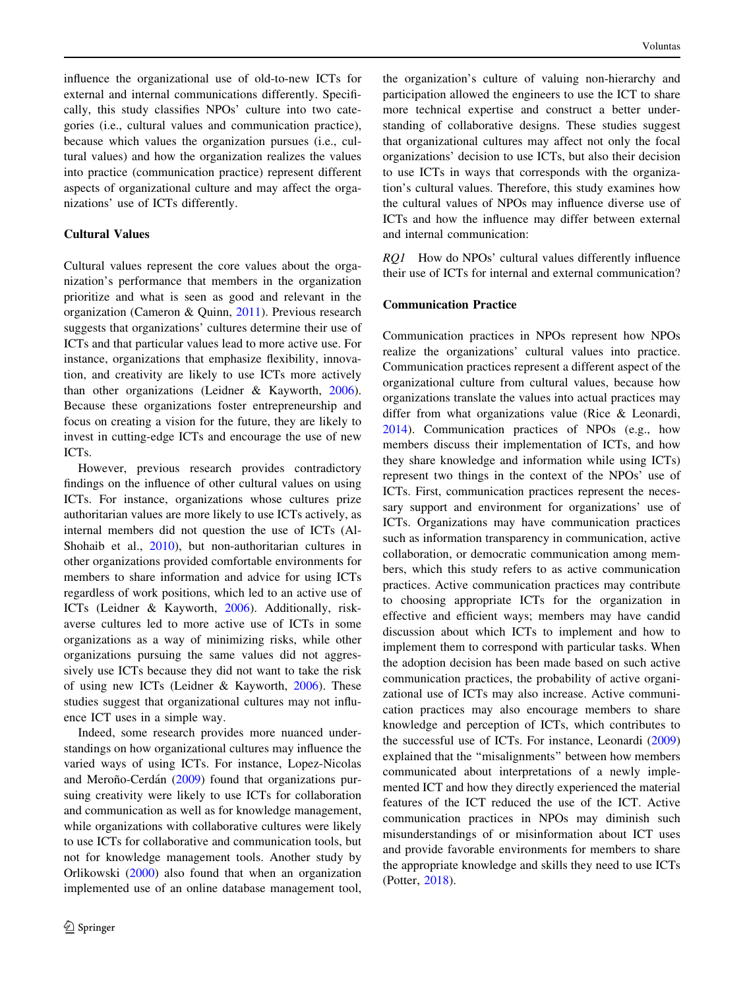influence the organizational use of old-to-new ICTs for external and internal communications differently. Specifically, this study classifies NPOs' culture into two categories (i.e., cultural values and communication practice), because which values the organization pursues (i.e., cultural values) and how the organization realizes the values into practice (communication practice) represent different aspects of organizational culture and may affect the organizations' use of ICTs differently.

## Cultural Values

Cultural values represent the core values about the organization's performance that members in the organization prioritize and what is seen as good and relevant in the organization (Cameron & Quinn, [2011\)](#page-15-0). Previous research suggests that organizations' cultures determine their use of ICTs and that particular values lead to more active use. For instance, organizations that emphasize flexibility, innovation, and creativity are likely to use ICTs more actively than other organizations (Leidner & Kayworth, [2006](#page-16-0)). Because these organizations foster entrepreneurship and focus on creating a vision for the future, they are likely to invest in cutting-edge ICTs and encourage the use of new ICTs.

However, previous research provides contradictory findings on the influence of other cultural values on using ICTs. For instance, organizations whose cultures prize authoritarian values are more likely to use ICTs actively, as internal members did not question the use of ICTs (Al-Shohaib et al., [2010\)](#page-15-0), but non-authoritarian cultures in other organizations provided comfortable environments for members to share information and advice for using ICTs regardless of work positions, which led to an active use of ICTs (Leidner & Kayworth, [2006\)](#page-16-0). Additionally, riskaverse cultures led to more active use of ICTs in some organizations as a way of minimizing risks, while other organizations pursuing the same values did not aggressively use ICTs because they did not want to take the risk of using new ICTs (Leidner & Kayworth, [2006\)](#page-16-0). These studies suggest that organizational cultures may not influence ICT uses in a simple way.

Indeed, some research provides more nuanced understandings on how organizational cultures may influence the varied ways of using ICTs. For instance, Lopez-Nicolas and Meroño-Cerdán ([2009\)](#page-16-0) found that organizations pursuing creativity were likely to use ICTs for collaboration and communication as well as for knowledge management, while organizations with collaborative cultures were likely to use ICTs for collaborative and communication tools, but not for knowledge management tools. Another study by Orlikowski ([2000\)](#page-16-0) also found that when an organization implemented use of an online database management tool,

the organization's culture of valuing non-hierarchy and participation allowed the engineers to use the ICT to share more technical expertise and construct a better understanding of collaborative designs. These studies suggest that organizational cultures may affect not only the focal organizations' decision to use ICTs, but also their decision to use ICTs in ways that corresponds with the organization's cultural values. Therefore, this study examines how the cultural values of NPOs may influence diverse use of ICTs and how the influence may differ between external and internal communication:

RQ1 How do NPOs' cultural values differently influence their use of ICTs for internal and external communication?

## Communication Practice

Communication practices in NPOs represent how NPOs realize the organizations' cultural values into practice. Communication practices represent a different aspect of the organizational culture from cultural values, because how organizations translate the values into actual practices may differ from what organizations value (Rice & Leonardi, [2014](#page-16-0)). Communication practices of NPOs (e.g., how members discuss their implementation of ICTs, and how they share knowledge and information while using ICTs) represent two things in the context of the NPOs' use of ICTs. First, communication practices represent the necessary support and environment for organizations' use of ICTs. Organizations may have communication practices such as information transparency in communication, active collaboration, or democratic communication among members, which this study refers to as active communication practices. Active communication practices may contribute to choosing appropriate ICTs for the organization in effective and efficient ways; members may have candid discussion about which ICTs to implement and how to implement them to correspond with particular tasks. When the adoption decision has been made based on such active communication practices, the probability of active organizational use of ICTs may also increase. Active communication practices may also encourage members to share knowledge and perception of ICTs, which contributes to the successful use of ICTs. For instance, Leonardi ([2009\)](#page-16-0) explained that the ''misalignments'' between how members communicated about interpretations of a newly implemented ICT and how they directly experienced the material features of the ICT reduced the use of the ICT. Active communication practices in NPOs may diminish such misunderstandings of or misinformation about ICT uses and provide favorable environments for members to share the appropriate knowledge and skills they need to use ICTs (Potter, [2018](#page-16-0)).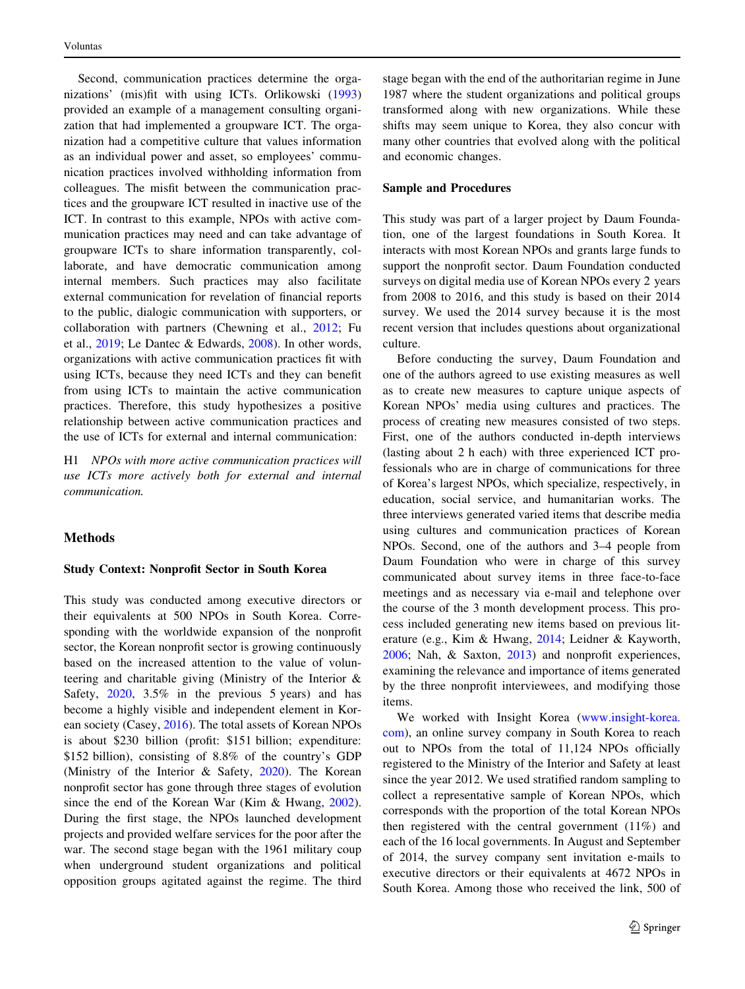Second, communication practices determine the organizations' (mis)fit with using ICTs. Orlikowski ([1993\)](#page-16-0) provided an example of a management consulting organization that had implemented a groupware ICT. The organization had a competitive culture that values information as an individual power and asset, so employees' communication practices involved withholding information from colleagues. The misfit between the communication practices and the groupware ICT resulted in inactive use of the ICT. In contrast to this example, NPOs with active communication practices may need and can take advantage of groupware ICTs to share information transparently, collaborate, and have democratic communication among internal members. Such practices may also facilitate external communication for revelation of financial reports to the public, dialogic communication with supporters, or collaboration with partners (Chewning et al., [2012](#page-15-0); Fu et al., [2019;](#page-15-0) Le Dantec & Edwards, [2008\)](#page-16-0). In other words, organizations with active communication practices fit with using ICTs, because they need ICTs and they can benefit from using ICTs to maintain the active communication practices. Therefore, this study hypothesizes a positive relationship between active communication practices and the use of ICTs for external and internal communication:

H1 NPOs with more active communication practices will use ICTs more actively both for external and internal communication.

# Methods

#### Study Context: Nonprofit Sector in South Korea

This study was conducted among executive directors or their equivalents at 500 NPOs in South Korea. Corresponding with the worldwide expansion of the nonprofit sector, the Korean nonprofit sector is growing continuously based on the increased attention to the value of volunteering and charitable giving (Ministry of the Interior & Safety, [2020,](#page-16-0) 3.5% in the previous 5 years) and has become a highly visible and independent element in Korean society (Casey, [2016\)](#page-15-0). The total assets of Korean NPOs is about \$230 billion (profit: \$151 billion; expenditure: \$152 billion), consisting of 8.8% of the country's GDP (Ministry of the Interior & Safety, [2020\)](#page-16-0). The Korean nonprofit sector has gone through three stages of evolution since the end of the Korean War (Kim & Hwang, [2002](#page-15-0)). During the first stage, the NPOs launched development projects and provided welfare services for the poor after the war. The second stage began with the 1961 military coup when underground student organizations and political opposition groups agitated against the regime. The third stage began with the end of the authoritarian regime in June 1987 where the student organizations and political groups transformed along with new organizations. While these shifts may seem unique to Korea, they also concur with many other countries that evolved along with the political and economic changes.

#### Sample and Procedures

This study was part of a larger project by Daum Foundation, one of the largest foundations in South Korea. It interacts with most Korean NPOs and grants large funds to support the nonprofit sector. Daum Foundation conducted surveys on digital media use of Korean NPOs every 2 years from 2008 to 2016, and this study is based on their 2014 survey. We used the 2014 survey because it is the most recent version that includes questions about organizational culture.

Before conducting the survey, Daum Foundation and one of the authors agreed to use existing measures as well as to create new measures to capture unique aspects of Korean NPOs' media using cultures and practices. The process of creating new measures consisted of two steps. First, one of the authors conducted in-depth interviews (lasting about 2 h each) with three experienced ICT professionals who are in charge of communications for three of Korea's largest NPOs, which specialize, respectively, in education, social service, and humanitarian works. The three interviews generated varied items that describe media using cultures and communication practices of Korean NPOs. Second, one of the authors and 3–4 people from Daum Foundation who were in charge of this survey communicated about survey items in three face-to-face meetings and as necessary via e-mail and telephone over the course of the 3 month development process. This process included generating new items based on previous literature (e.g., Kim & Hwang, [2014](#page-15-0); Leidner & Kayworth, [2006](#page-16-0); Nah, & Saxton, [2013](#page-16-0)) and nonprofit experiences, examining the relevance and importance of items generated by the three nonprofit interviewees, and modifying those items.

We worked with Insight Korea ([www.insight-korea.](http://www.insight-korea.com) [com](http://www.insight-korea.com)), an online survey company in South Korea to reach out to NPOs from the total of 11,124 NPOs officially registered to the Ministry of the Interior and Safety at least since the year 2012. We used stratified random sampling to collect a representative sample of Korean NPOs, which corresponds with the proportion of the total Korean NPOs then registered with the central government (11%) and each of the 16 local governments. In August and September of 2014, the survey company sent invitation e-mails to executive directors or their equivalents at 4672 NPOs in South Korea. Among those who received the link, 500 of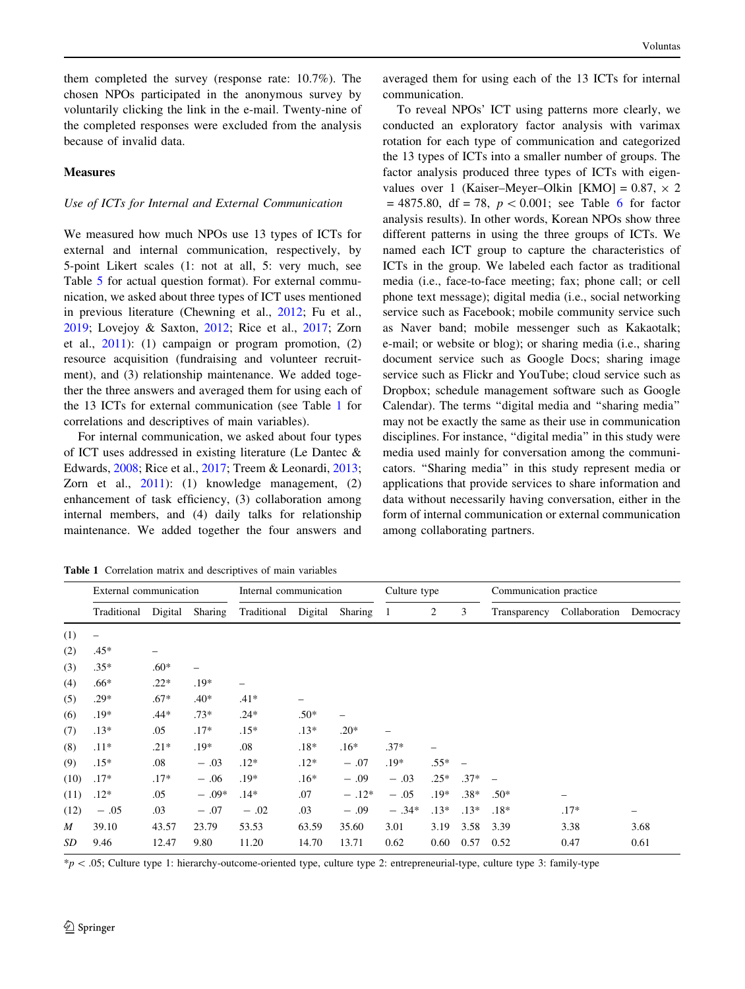them completed the survey (response rate: 10.7%). The chosen NPOs participated in the anonymous survey by voluntarily clicking the link in the e-mail. Twenty-nine of the completed responses were excluded from the analysis because of invalid data.

## **Measures**

### Use of ICTs for Internal and External Communication

We measured how much NPOs use 13 types of ICTs for external and internal communication, respectively, by 5-point Likert scales (1: not at all, 5: very much, see Table [5](#page-12-0) for actual question format). For external communication, we asked about three types of ICT uses mentioned in previous literature (Chewning et al., [2012](#page-15-0); Fu et al., [2019;](#page-15-0) Lovejoy & Saxton, [2012](#page-16-0); Rice et al., [2017](#page-16-0); Zorn et al., [2011](#page-16-0)): (1) campaign or program promotion, (2) resource acquisition (fundraising and volunteer recruitment), and (3) relationship maintenance. We added together the three answers and averaged them for using each of the 13 ICTs for external communication (see Table 1 for correlations and descriptives of main variables).

For internal communication, we asked about four types of ICT uses addressed in existing literature (Le Dantec & Edwards, [2008;](#page-16-0) Rice et al., [2017](#page-16-0); Treem & Leonardi, [2013](#page-16-0); Zorn et al., [2011](#page-16-0)): (1) knowledge management, (2) enhancement of task efficiency, (3) collaboration among internal members, and (4) daily talks for relationship maintenance. We added together the four answers and

averaged them for using each of the 13 ICTs for internal communication.

To reveal NPOs' ICT using patterns more clearly, we conducted an exploratory factor analysis with varimax rotation for each type of communication and categorized the 13 types of ICTs into a smaller number of groups. The factor analysis produced three types of ICTs with eigenvalues over 1 (Kaiser–Meyer–Olkin [KMO] =  $0.87 \times 2$  $= 4875.80$ , df  $= 78$ ,  $p < 0.001$ ; see Table [6](#page-12-0) for factor analysis results). In other words, Korean NPOs show three different patterns in using the three groups of ICTs. We named each ICT group to capture the characteristics of ICTs in the group. We labeled each factor as traditional media (i.e., face-to-face meeting; fax; phone call; or cell phone text message); digital media (i.e., social networking service such as Facebook; mobile community service such as Naver band; mobile messenger such as Kakaotalk; e-mail; or website or blog); or sharing media (i.e., sharing document service such as Google Docs; sharing image service such as Flickr and YouTube; cloud service such as Dropbox; schedule management software such as Google Calendar). The terms ''digital media and ''sharing media'' may not be exactly the same as their use in communication disciplines. For instance, ''digital media'' in this study were media used mainly for conversation among the communicators. ''Sharing media'' in this study represent media or applications that provide services to share information and data without necessarily having conversation, either in the form of internal communication or external communication among collaborating partners.

Table 1 Correlation matrix and descriptives of main variables

|      | External communication   |         |         | Internal communication |         |         | Communication practice<br>Culture type |        |        |              |               |           |
|------|--------------------------|---------|---------|------------------------|---------|---------|----------------------------------------|--------|--------|--------------|---------------|-----------|
|      | Traditional              | Digital | Sharing | Traditional            | Digital | Sharing | 1                                      | 2      | 3      | Transparency | Collaboration | Democracy |
| (1)  | $\overline{\phantom{0}}$ |         |         |                        |         |         |                                        |        |        |              |               |           |
| (2)  | $.45*$                   | -       |         |                        |         |         |                                        |        |        |              |               |           |
| (3)  | $.35*$                   | $.60*$  | -       |                        |         |         |                                        |        |        |              |               |           |
| (4)  | $.66*$                   | $.22*$  | $.19*$  |                        |         |         |                                        |        |        |              |               |           |
| (5)  | $.29*$                   | $.67*$  | $.40*$  | $.41*$                 |         |         |                                        |        |        |              |               |           |
| (6)  | $.19*$                   | $.44*$  | $.73*$  | $.24*$                 | $.50*$  | -       |                                        |        |        |              |               |           |
| (7)  | $.13*$                   | .05     | $.17*$  | $.15*$                 | $.13*$  | $.20*$  | -                                      |        |        |              |               |           |
| (8)  | $.11*$                   | $.21*$  | $.19*$  | .08                    | $.18*$  | $.16*$  | $.37*$                                 |        |        |              |               |           |
| (9)  | $.15*$                   | .08     | $-.03$  | $.12*$                 | $.12*$  | $-.07$  | $.19*$                                 | $.55*$ |        |              |               |           |
| (10) | $.17*$                   | $.17*$  | $-.06$  | $.19*$                 | $.16*$  | $-.09$  | $-.03$                                 | $.25*$ | $.37*$ |              |               |           |
| (11) | $.12*$                   | .05     | $-.09*$ | $.14*$                 | .07     | $-.12*$ | $-.05$                                 | $.19*$ | $.38*$ | $.50*$       | -             |           |
| (12) | $-.05$                   | .03     | $-.07$  | $-.02$                 | .03     | $-.09$  | $-.34*$                                | $.13*$ | $.13*$ | $.18*$       | $.17*$        | -         |
| M    | 39.10                    | 43.57   | 23.79   | 53.53                  | 63.59   | 35.60   | 3.01                                   | 3.19   | 3.58   | 3.39         | 3.38          | 3.68      |
| SD   | 9.46                     | 12.47   | 9.80    | 11.20                  | 14.70   | 13.71   | 0.62                                   | 0.60   | 0.57   | 0.52         | 0.47          | 0.61      |

 $*p$  < .05; Culture type 1: hierarchy-outcome-oriented type, culture type 2: entrepreneurial-type, culture type 3: family-type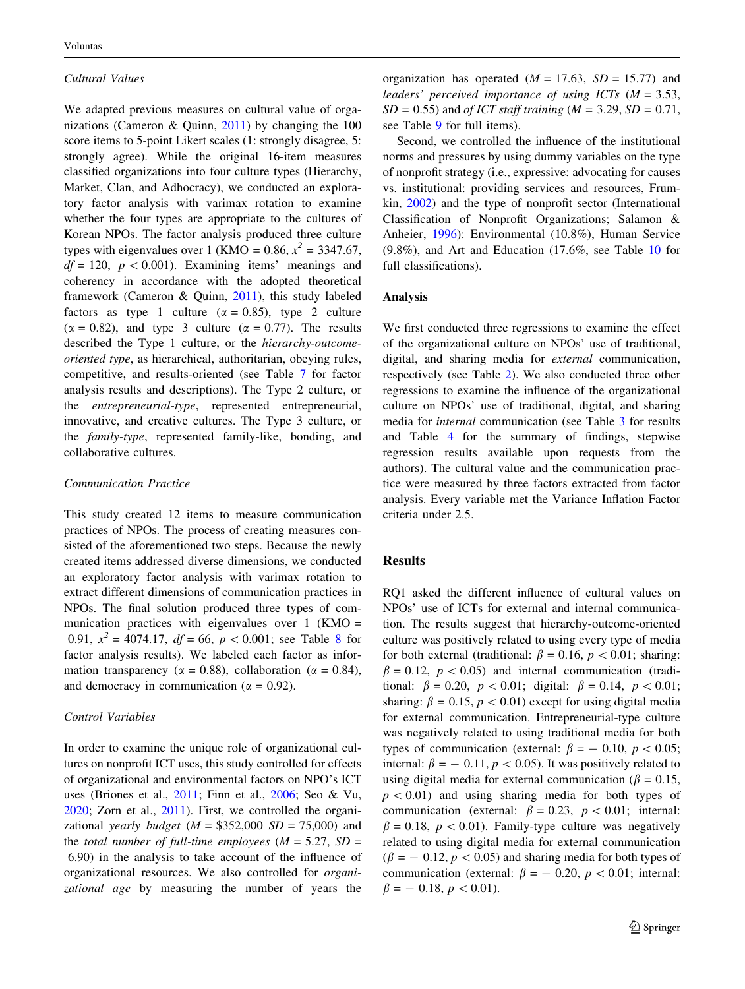#### Cultural Values

We adapted previous measures on cultural value of organizations (Cameron & Quinn, [2011](#page-15-0)) by changing the 100 score items to 5-point Likert scales (1: strongly disagree, 5: strongly agree). While the original 16-item measures classified organizations into four culture types (Hierarchy, Market, Clan, and Adhocracy), we conducted an exploratory factor analysis with varimax rotation to examine whether the four types are appropriate to the cultures of Korean NPOs. The factor analysis produced three culture types with eigenvalues over 1 (KMO = 0.86,  $x^2 = 3347.67$ ,  $df = 120$ ,  $p < 0.001$ ). Examining items' meanings and coherency in accordance with the adopted theoretical framework (Cameron & Quinn, [2011](#page-15-0)), this study labeled factors as type 1 culture ( $\alpha = 0.85$ ), type 2 culture  $(\alpha = 0.82)$ , and type 3 culture  $(\alpha = 0.77)$ . The results described the Type 1 culture, or the hierarchy-outcomeoriented type, as hierarchical, authoritarian, obeying rules, competitive, and results-oriented (see Table [7](#page-13-0) for factor analysis results and descriptions). The Type 2 culture, or the entrepreneurial-type, represented entrepreneurial, innovative, and creative cultures. The Type 3 culture, or the family-type, represented family-like, bonding, and collaborative cultures.

#### Communication Practice

This study created 12 items to measure communication practices of NPOs. The process of creating measures consisted of the aforementioned two steps. Because the newly created items addressed diverse dimensions, we conducted an exploratory factor analysis with varimax rotation to extract different dimensions of communication practices in NPOs. The final solution produced three types of communication practices with eigenvalues over  $1 \text{ (KMO)} =$ 0.91,  $x^2 = 4074.17$ ,  $df = 66$ ,  $p < 0.001$ ; see Table [8](#page-14-0) for factor analysis results). We labeled each factor as information transparency ( $\alpha = 0.88$ ), collaboration ( $\alpha = 0.84$ ), and democracy in communication ( $\alpha = 0.92$ ).

## Control Variables

In order to examine the unique role of organizational cultures on nonprofit ICT uses, this study controlled for effects of organizational and environmental factors on NPO's ICT uses (Briones et al., [2011;](#page-15-0) Finn et al., [2006](#page-15-0); Seo & Vu, [2020;](#page-16-0) Zorn et al., [2011\)](#page-16-0). First, we controlled the organizational yearly budget  $(M = $352,000 SD = 75,000)$  and the total number of full-time employees ( $M = 5.27$ ,  $SD =$ 6.90) in the analysis to take account of the influence of organizational resources. We also controlled for organizational age by measuring the number of years the organization has operated  $(M = 17.63, SD = 15.77)$  and leaders' perceived importance of using ICTs  $(M = 3.53,$  $SD = 0.55$ ) and *of ICT staff training* ( $M = 3.29$ ,  $SD = 0.71$ , see Table [9](#page-14-0) for full items).

Second, we controlled the influence of the institutional norms and pressures by using dummy variables on the type of nonprofit strategy (i.e., expressive: advocating for causes vs. institutional: providing services and resources, Frumkin, [2002](#page-15-0)) and the type of nonprofit sector (International Classification of Nonprofit Organizations; Salamon & Anheier, [1996](#page-16-0)): Environmental (10.8%), Human Service (9.8%), and Art and Education (17.6%, see Table [10](#page-15-0) for full classifications).

#### Analysis

We first conducted three regressions to examine the effect of the organizational culture on NPOs' use of traditional, digital, and sharing media for external communication, respectively (see Table [2](#page-7-0)). We also conducted three other regressions to examine the influence of the organizational culture on NPOs' use of traditional, digital, and sharing media for internal communication (see Table [3](#page-7-0) for results and Table [4](#page-8-0) for the summary of findings, stepwise regression results available upon requests from the authors). The cultural value and the communication practice were measured by three factors extracted from factor analysis. Every variable met the Variance Inflation Factor criteria under 2.5.

# Results

RQ1 asked the different influence of cultural values on NPOs' use of ICTs for external and internal communication. The results suggest that hierarchy-outcome-oriented culture was positively related to using every type of media for both external (traditional:  $\beta = 0.16$ ,  $p < 0.01$ ; sharing:  $\beta = 0.12$ ,  $p < 0.05$ ) and internal communication (traditional:  $\beta = 0.20$ ,  $p < 0.01$ ; digital:  $\beta = 0.14$ ,  $p < 0.01$ ; sharing:  $\beta = 0.15$ ,  $p < 0.01$ ) except for using digital media for external communication. Entrepreneurial-type culture was negatively related to using traditional media for both types of communication (external:  $\beta = -0.10, p < 0.05;$ internal:  $\beta = -0.11$ ,  $p < 0.05$ ). It was positively related to using digital media for external communication ( $\beta = 0.15$ ,  $p < 0.01$ ) and using sharing media for both types of communication (external:  $\beta = 0.23$ ,  $p < 0.01$ ; internal:  $\beta = 0.18$ ,  $p < 0.01$ ). Family-type culture was negatively related to using digital media for external communication  $(\beta = -0.12, p < 0.05)$  and sharing media for both types of communication (external:  $\beta = -0.20, p < 0.01$ ; internal:  $\beta = -0.18, p < 0.01$ .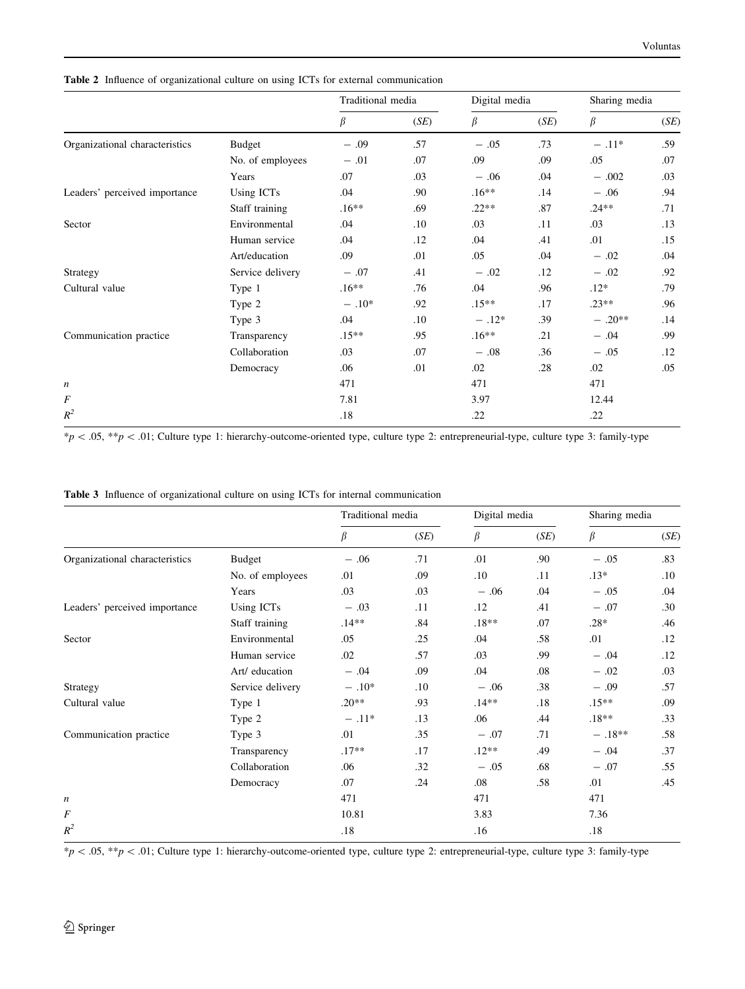|                                |                  | Traditional media |         | Digital media |      | Sharing media |      |
|--------------------------------|------------------|-------------------|---------|---------------|------|---------------|------|
|                                |                  | β                 | (SE)    | β             | (SE) | $\beta$       | (SE) |
| Organizational characteristics | <b>Budget</b>    | $-.09$            | .57     | $-.05$        | .73  | $-.11*$       | .59  |
|                                | No. of employees | $-.01$            | .07     | .09           | .09  | .05           | .07  |
|                                | Years            | .07               | .03     | $-.06$        | .04  | $-.002$       | .03  |
| Leaders' perceived importance  | Using ICTs       | .04               | .90     | $.16**$       | .14  | $-.06$        | .94  |
|                                | Staff training   | $.16**$           | .69     | $.22**$       | .87  | $.24**$       | .71  |
| Sector                         | Environmental    | .04               | $.10\,$ | .03           | .11  | .03           | .13  |
|                                | Human service    | .04               | .12     | .04           | .41  | .01           | .15  |
|                                | Art/education    | .09               | .01     | .05           | .04  | $-.02$        | .04  |
| Strategy                       | Service delivery | $-.07$            | .41     | $-.02$        | .12  | $-.02$        | .92  |
| Cultural value                 | Type 1           | $.16**$           | .76     | .04           | .96  | $.12*$        | .79  |
|                                | Type 2           | $-.10*$           | .92     | $.15**$       | .17  | $.23**$       | .96  |
|                                | Type 3           | .04               | .10     | $-.12*$       | .39  | $-.20**$      | .14  |
| Communication practice         | Transparency     | $.15**$           | .95     | $.16**$       | .21  | $-.04$        | .99  |
|                                | Collaboration    | .03               | .07     | $-.08$        | .36  | $-.05$        | .12  |
|                                | Democracy        | .06               | .01     | .02           | .28  | .02           | .05  |
| n                              |                  | 471               |         | 471           |      | 471           |      |
| F                              |                  | 7.81              |         | 3.97          |      | 12.44         |      |
| $R^2$                          |                  | .18               |         | .22           |      | .22           |      |

<span id="page-7-0"></span>Table 2 Influence of organizational culture on using ICTs for external communication

 $*p<.05, **p<.01$ ; Culture type 1: hierarchy-outcome-oriented type, culture type 2: entrepreneurial-type, culture type 3: family-type

|  |  |  |  |  |  |  | Table 3 Influence of organizational culture on using ICTs for internal communication |
|--|--|--|--|--|--|--|--------------------------------------------------------------------------------------|
|--|--|--|--|--|--|--|--------------------------------------------------------------------------------------|

|                                |                  | Traditional media |      | Digital media |      | Sharing media |      |
|--------------------------------|------------------|-------------------|------|---------------|------|---------------|------|
|                                |                  | β                 | (SE) | β             | (SE) | β             | (SE) |
| Organizational characteristics | Budget           | $-.06$            | .71  | .01           | .90  | $-.05$        | .83  |
|                                | No. of employees | .01               | .09  | .10           | .11  | $.13*$        | .10  |
|                                | Years            | .03               | .03  | $-.06$        | .04  | $-.05$        | .04  |
| Leaders' perceived importance  | Using ICTs       | $-.03$            | .11  | .12           | .41  | $-.07$        | .30  |
|                                | Staff training   | $.14**$           | .84  | $.18**$       | .07  | $.28*$        | .46  |
| Sector                         | Environmental    | .05               | .25  | .04           | .58  | .01           | .12  |
|                                | Human service    | .02               | .57  | .03           | .99  | $-.04$        | .12  |
|                                | Art/ education   | $-.04$            | .09  | .04           | .08  | $-.02$        | .03  |
| Strategy                       | Service delivery | $-.10*$           | .10  | $-.06$        | .38  | $-.09$        | .57  |
| Cultural value                 | Type 1           | $.20**$           | .93  | $.14**$       | .18  | $.15**$       | .09  |
|                                | Type 2           | $-.11*$           | .13  | .06           | .44  | $.18**$       | .33  |
| Communication practice         | Type 3           | .01               | .35  | $-.07$        | .71  | $-.18**$      | .58  |
|                                | Transparency     | $.17**$           | .17  | $.12**$       | .49  | $-.04$        | .37  |
|                                | Collaboration    | .06               | .32  | $-.05$        | .68  | $-.07$        | .55  |
|                                | Democracy        | .07               | .24  | .08           | .58  | .01           | .45  |
| $\boldsymbol{n}$               |                  | 471               |      | 471           |      | 471           |      |
| F                              |                  | 10.81             |      | 3.83          |      | 7.36          |      |
| $R^2$                          |                  | .18               |      | .16           |      | .18           |      |

 $*p<.05, **p<.01$ ; Culture type 1: hierarchy-outcome-oriented type, culture type 2: entrepreneurial-type, culture type 3: family-type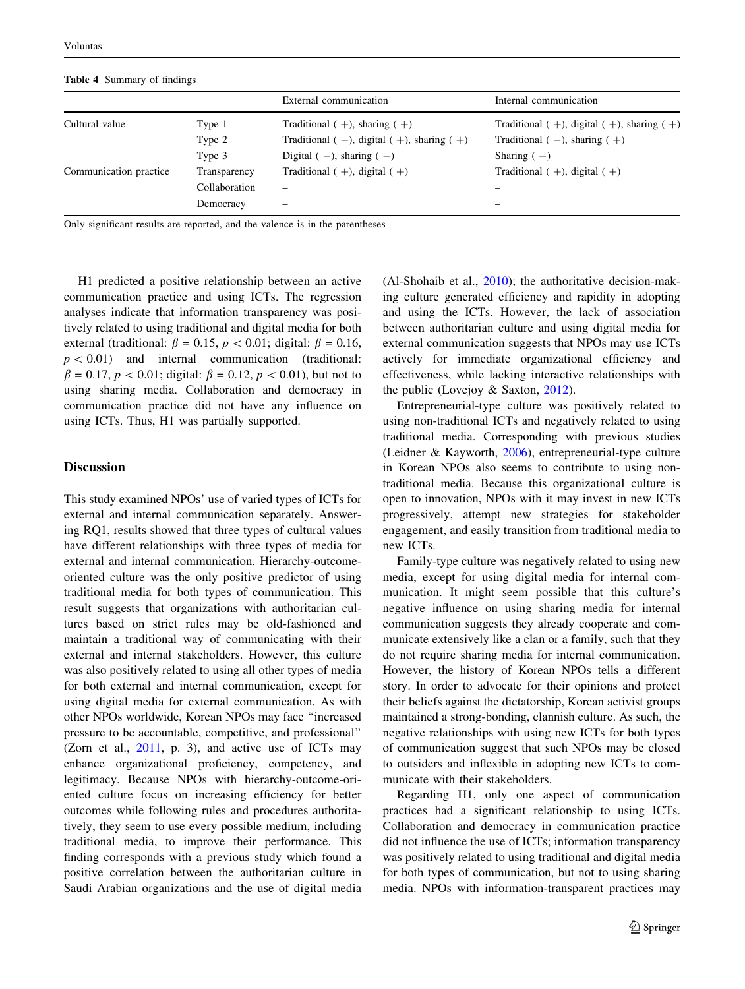<span id="page-8-0"></span>Table 4 Summary of findings

|                        |               | External communication                                | Internal communication                            |
|------------------------|---------------|-------------------------------------------------------|---------------------------------------------------|
| Cultural value         | Type 1        | Traditional $(+)$ , sharing $(+)$                     | Traditional $(+)$ , digital $(+)$ , sharing $(+)$ |
|                        | Type 2        | Traditional ( $-$ ), digital ( $+$ ), sharing ( $+$ ) | Traditional $(-)$ , sharing $(+)$                 |
|                        | Type 3        | Digital $(-)$ , sharing $(-)$                         | Sharing $(-)$                                     |
| Communication practice | Transparency  | Traditional $(+)$ , digital $(+)$                     | Traditional $(+)$ , digital $(+)$                 |
|                        | Collaboration | $\qquad \qquad$                                       |                                                   |
|                        | Democracy     | $\overline{\phantom{0}}$                              | -                                                 |
|                        |               |                                                       |                                                   |

Only significant results are reported, and the valence is in the parentheses

H1 predicted a positive relationship between an active communication practice and using ICTs. The regression analyses indicate that information transparency was positively related to using traditional and digital media for both external (traditional:  $\beta = 0.15$ ,  $p < 0.01$ ; digital:  $\beta = 0.16$ ,  $p < 0.01$  and internal communication (traditional:  $\beta = 0.17, p < 0.01$ ; digital:  $\beta = 0.12, p < 0.01$ ), but not to using sharing media. Collaboration and democracy in communication practice did not have any influence on using ICTs. Thus, H1 was partially supported.

## **Discussion**

This study examined NPOs' use of varied types of ICTs for external and internal communication separately. Answering RQ1, results showed that three types of cultural values have different relationships with three types of media for external and internal communication. Hierarchy-outcomeoriented culture was the only positive predictor of using traditional media for both types of communication. This result suggests that organizations with authoritarian cultures based on strict rules may be old-fashioned and maintain a traditional way of communicating with their external and internal stakeholders. However, this culture was also positively related to using all other types of media for both external and internal communication, except for using digital media for external communication. As with other NPOs worldwide, Korean NPOs may face ''increased pressure to be accountable, competitive, and professional'' (Zorn et al.,  $2011$ , p. 3), and active use of ICTs may enhance organizational proficiency, competency, and legitimacy. Because NPOs with hierarchy-outcome-oriented culture focus on increasing efficiency for better outcomes while following rules and procedures authoritatively, they seem to use every possible medium, including traditional media, to improve their performance. This finding corresponds with a previous study which found a positive correlation between the authoritarian culture in Saudi Arabian organizations and the use of digital media (Al-Shohaib et al., [2010](#page-15-0)); the authoritative decision-making culture generated efficiency and rapidity in adopting and using the ICTs. However, the lack of association between authoritarian culture and using digital media for external communication suggests that NPOs may use ICTs actively for immediate organizational efficiency and effectiveness, while lacking interactive relationships with the public (Lovejoy & Saxton, [2012\)](#page-16-0).

Entrepreneurial-type culture was positively related to using non-traditional ICTs and negatively related to using traditional media. Corresponding with previous studies (Leidner & Kayworth, [2006\)](#page-16-0), entrepreneurial-type culture in Korean NPOs also seems to contribute to using nontraditional media. Because this organizational culture is open to innovation, NPOs with it may invest in new ICTs progressively, attempt new strategies for stakeholder engagement, and easily transition from traditional media to new ICTs.

Family-type culture was negatively related to using new media, except for using digital media for internal communication. It might seem possible that this culture's negative influence on using sharing media for internal communication suggests they already cooperate and communicate extensively like a clan or a family, such that they do not require sharing media for internal communication. However, the history of Korean NPOs tells a different story. In order to advocate for their opinions and protect their beliefs against the dictatorship, Korean activist groups maintained a strong-bonding, clannish culture. As such, the negative relationships with using new ICTs for both types of communication suggest that such NPOs may be closed to outsiders and inflexible in adopting new ICTs to communicate with their stakeholders.

Regarding H1, only one aspect of communication practices had a significant relationship to using ICTs. Collaboration and democracy in communication practice did not influence the use of ICTs; information transparency was positively related to using traditional and digital media for both types of communication, but not to using sharing media. NPOs with information-transparent practices may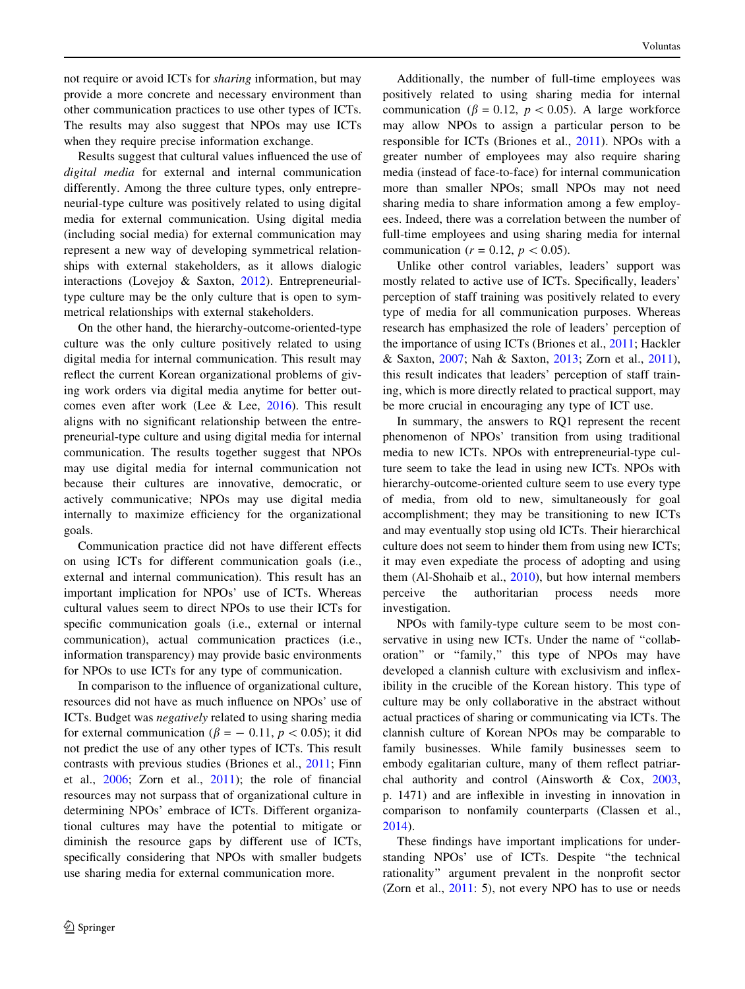not require or avoid ICTs for *sharing* information, but may provide a more concrete and necessary environment than other communication practices to use other types of ICTs. The results may also suggest that NPOs may use ICTs when they require precise information exchange.

Results suggest that cultural values influenced the use of digital media for external and internal communication differently. Among the three culture types, only entrepreneurial-type culture was positively related to using digital media for external communication. Using digital media (including social media) for external communication may represent a new way of developing symmetrical relationships with external stakeholders, as it allows dialogic interactions (Lovejoy & Saxton, [2012\)](#page-16-0). Entrepreneurialtype culture may be the only culture that is open to symmetrical relationships with external stakeholders.

On the other hand, the hierarchy-outcome-oriented-type culture was the only culture positively related to using digital media for internal communication. This result may reflect the current Korean organizational problems of giving work orders via digital media anytime for better outcomes even after work (Lee & Lee, [2016](#page-16-0)). This result aligns with no significant relationship between the entrepreneurial-type culture and using digital media for internal communication. The results together suggest that NPOs may use digital media for internal communication not because their cultures are innovative, democratic, or actively communicative; NPOs may use digital media internally to maximize efficiency for the organizational goals.

Communication practice did not have different effects on using ICTs for different communication goals (i.e., external and internal communication). This result has an important implication for NPOs' use of ICTs. Whereas cultural values seem to direct NPOs to use their ICTs for specific communication goals (i.e., external or internal communication), actual communication practices (i.e., information transparency) may provide basic environments for NPOs to use ICTs for any type of communication.

In comparison to the influence of organizational culture, resources did not have as much influence on NPOs' use of ICTs. Budget was negatively related to using sharing media for external communication ( $\beta = -0.11$ ,  $p < 0.05$ ); it did not predict the use of any other types of ICTs. This result contrasts with previous studies (Briones et al., [2011;](#page-15-0) Finn et al., [2006;](#page-15-0) Zorn et al., [2011](#page-16-0)); the role of financial resources may not surpass that of organizational culture in determining NPOs' embrace of ICTs. Different organizational cultures may have the potential to mitigate or diminish the resource gaps by different use of ICTs, specifically considering that NPOs with smaller budgets use sharing media for external communication more.

Additionally, the number of full-time employees was positively related to using sharing media for internal communication ( $\beta = 0.12$ ,  $p < 0.05$ ). A large workforce may allow NPOs to assign a particular person to be responsible for ICTs (Briones et al., [2011\)](#page-15-0). NPOs with a greater number of employees may also require sharing media (instead of face-to-face) for internal communication more than smaller NPOs; small NPOs may not need sharing media to share information among a few employees. Indeed, there was a correlation between the number of full-time employees and using sharing media for internal communication ( $r = 0.12$ ,  $p < 0.05$ ).

Unlike other control variables, leaders' support was mostly related to active use of ICTs. Specifically, leaders' perception of staff training was positively related to every type of media for all communication purposes. Whereas research has emphasized the role of leaders' perception of the importance of using ICTs (Briones et al., [2011](#page-15-0); Hackler & Saxton, [2007](#page-15-0); Nah & Saxton, [2013;](#page-16-0) Zorn et al., [2011](#page-16-0)), this result indicates that leaders' perception of staff training, which is more directly related to practical support, may be more crucial in encouraging any type of ICT use.

In summary, the answers to RQ1 represent the recent phenomenon of NPOs' transition from using traditional media to new ICTs. NPOs with entrepreneurial-type culture seem to take the lead in using new ICTs. NPOs with hierarchy-outcome-oriented culture seem to use every type of media, from old to new, simultaneously for goal accomplishment; they may be transitioning to new ICTs and may eventually stop using old ICTs. Their hierarchical culture does not seem to hinder them from using new ICTs; it may even expediate the process of adopting and using them (Al-Shohaib et al., [2010](#page-15-0)), but how internal members perceive the authoritarian process needs more investigation.

NPOs with family-type culture seem to be most conservative in using new ICTs. Under the name of "collaboration'' or ''family,'' this type of NPOs may have developed a clannish culture with exclusivism and inflexibility in the crucible of the Korean history. This type of culture may be only collaborative in the abstract without actual practices of sharing or communicating via ICTs. The clannish culture of Korean NPOs may be comparable to family businesses. While family businesses seem to embody egalitarian culture, many of them reflect patriarchal authority and control (Ainsworth & Cox, [2003,](#page-15-0) p. 1471) and are inflexible in investing in innovation in comparison to nonfamily counterparts (Classen et al., [2014](#page-15-0)).

These findings have important implications for understanding NPOs' use of ICTs. Despite ''the technical rationality'' argument prevalent in the nonprofit sector (Zorn et al., [2011:](#page-16-0) 5), not every NPO has to use or needs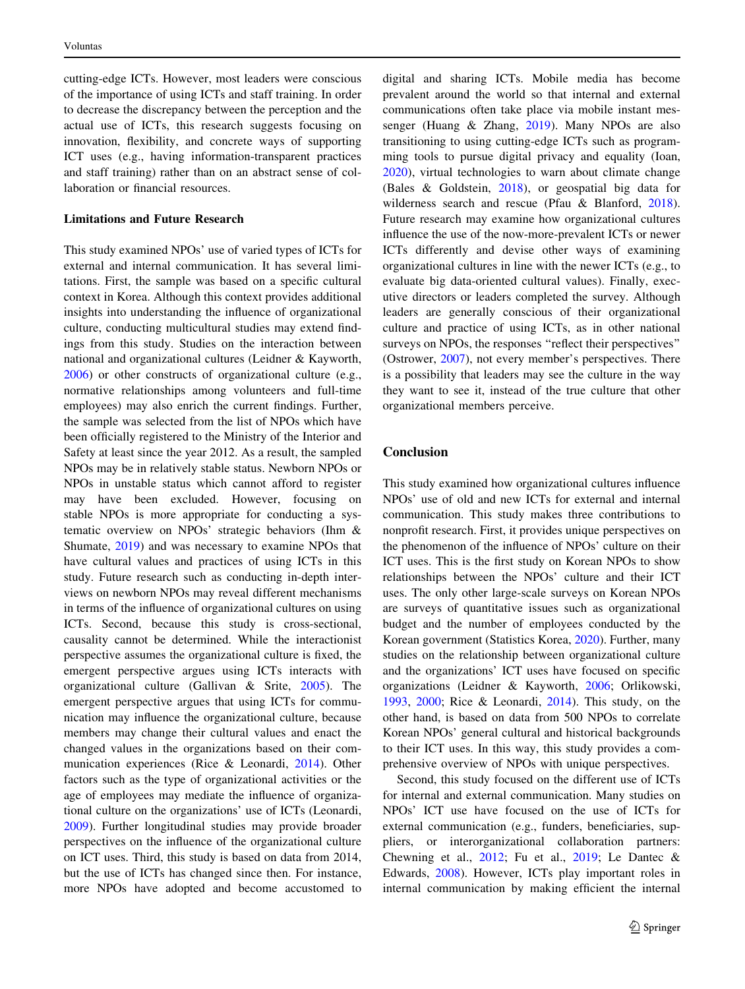cutting-edge ICTs. However, most leaders were conscious of the importance of using ICTs and staff training. In order to decrease the discrepancy between the perception and the actual use of ICTs, this research suggests focusing on innovation, flexibility, and concrete ways of supporting ICT uses (e.g., having information-transparent practices and staff training) rather than on an abstract sense of collaboration or financial resources.

### Limitations and Future Research

This study examined NPOs' use of varied types of ICTs for external and internal communication. It has several limitations. First, the sample was based on a specific cultural context in Korea. Although this context provides additional insights into understanding the influence of organizational culture, conducting multicultural studies may extend findings from this study. Studies on the interaction between national and organizational cultures (Leidner & Kayworth, [2006\)](#page-16-0) or other constructs of organizational culture (e.g., normative relationships among volunteers and full-time employees) may also enrich the current findings. Further, the sample was selected from the list of NPOs which have been officially registered to the Ministry of the Interior and Safety at least since the year 2012. As a result, the sampled NPOs may be in relatively stable status. Newborn NPOs or NPOs in unstable status which cannot afford to register may have been excluded. However, focusing on stable NPOs is more appropriate for conducting a systematic overview on NPOs' strategic behaviors (Ihm & Shumate, [2019](#page-15-0)) and was necessary to examine NPOs that have cultural values and practices of using ICTs in this study. Future research such as conducting in-depth interviews on newborn NPOs may reveal different mechanisms in terms of the influence of organizational cultures on using ICTs. Second, because this study is cross-sectional, causality cannot be determined. While the interactionist perspective assumes the organizational culture is fixed, the emergent perspective argues using ICTs interacts with organizational culture (Gallivan & Srite, [2005](#page-15-0)). The emergent perspective argues that using ICTs for communication may influence the organizational culture, because members may change their cultural values and enact the changed values in the organizations based on their communication experiences (Rice & Leonardi, [2014\)](#page-16-0). Other factors such as the type of organizational activities or the age of employees may mediate the influence of organizational culture on the organizations' use of ICTs (Leonardi, [2009\)](#page-16-0). Further longitudinal studies may provide broader perspectives on the influence of the organizational culture on ICT uses. Third, this study is based on data from 2014, but the use of ICTs has changed since then. For instance, more NPOs have adopted and become accustomed to digital and sharing ICTs. Mobile media has become prevalent around the world so that internal and external communications often take place via mobile instant messenger (Huang & Zhang, [2019\)](#page-15-0). Many NPOs are also transitioning to using cutting-edge ICTs such as programming tools to pursue digital privacy and equality (Ioan, [2020](#page-15-0)), virtual technologies to warn about climate change (Bales & Goldstein, [2018\)](#page-15-0), or geospatial big data for wilderness search and rescue (Pfau & Blanford, [2018](#page-16-0)). Future research may examine how organizational cultures influence the use of the now-more-prevalent ICTs or newer ICTs differently and devise other ways of examining organizational cultures in line with the newer ICTs (e.g., to evaluate big data-oriented cultural values). Finally, executive directors or leaders completed the survey. Although leaders are generally conscious of their organizational culture and practice of using ICTs, as in other national surveys on NPOs, the responses "reflect their perspectives" (Ostrower, [2007](#page-16-0)), not every member's perspectives. There is a possibility that leaders may see the culture in the way they want to see it, instead of the true culture that other organizational members perceive.

# Conclusion

This study examined how organizational cultures influence NPOs' use of old and new ICTs for external and internal communication. This study makes three contributions to nonprofit research. First, it provides unique perspectives on the phenomenon of the influence of NPOs' culture on their ICT uses. This is the first study on Korean NPOs to show relationships between the NPOs' culture and their ICT uses. The only other large-scale surveys on Korean NPOs are surveys of quantitative issues such as organizational budget and the number of employees conducted by the Korean government (Statistics Korea, [2020](#page-16-0)). Further, many studies on the relationship between organizational culture and the organizations' ICT uses have focused on specific organizations (Leidner & Kayworth, [2006](#page-16-0); Orlikowski, [1993](#page-16-0), [2000;](#page-16-0) Rice & Leonardi, [2014](#page-16-0)). This study, on the other hand, is based on data from 500 NPOs to correlate Korean NPOs' general cultural and historical backgrounds to their ICT uses. In this way, this study provides a comprehensive overview of NPOs with unique perspectives.

Second, this study focused on the different use of ICTs for internal and external communication. Many studies on NPOs' ICT use have focused on the use of ICTs for external communication (e.g., funders, beneficiaries, suppliers, or interorganizational collaboration partners: Chewning et al.,  $2012$ ; Fu et al.,  $2019$ ; Le Dantec & Edwards, [2008](#page-16-0)). However, ICTs play important roles in internal communication by making efficient the internal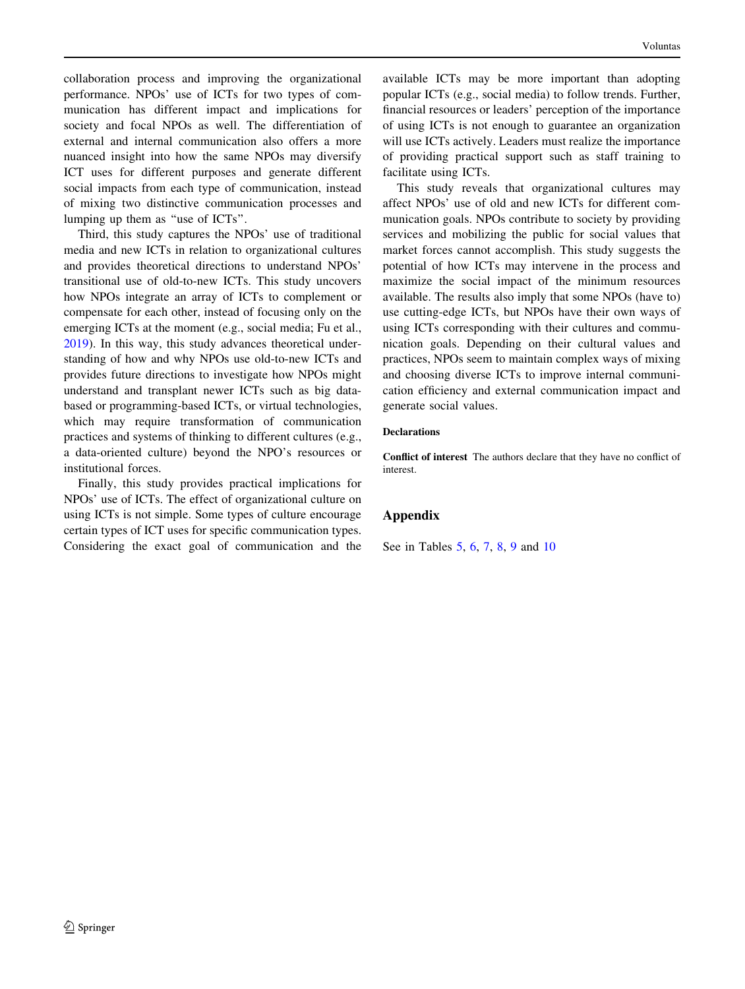collaboration process and improving the organizational performance. NPOs' use of ICTs for two types of communication has different impact and implications for society and focal NPOs as well. The differentiation of external and internal communication also offers a more nuanced insight into how the same NPOs may diversify ICT uses for different purposes and generate different social impacts from each type of communication, instead of mixing two distinctive communication processes and lumping up them as ''use of ICTs''.

Third, this study captures the NPOs' use of traditional media and new ICTs in relation to organizational cultures and provides theoretical directions to understand NPOs' transitional use of old-to-new ICTs. This study uncovers how NPOs integrate an array of ICTs to complement or compensate for each other, instead of focusing only on the emerging ICTs at the moment (e.g., social media; Fu et al., [2019\)](#page-15-0). In this way, this study advances theoretical understanding of how and why NPOs use old-to-new ICTs and provides future directions to investigate how NPOs might understand and transplant newer ICTs such as big databased or programming-based ICTs, or virtual technologies, which may require transformation of communication practices and systems of thinking to different cultures (e.g., a data-oriented culture) beyond the NPO's resources or institutional forces.

Finally, this study provides practical implications for NPOs' use of ICTs. The effect of organizational culture on using ICTs is not simple. Some types of culture encourage certain types of ICT uses for specific communication types. Considering the exact goal of communication and the

available ICTs may be more important than adopting popular ICTs (e.g., social media) to follow trends. Further, financial resources or leaders' perception of the importance of using ICTs is not enough to guarantee an organization will use ICTs actively. Leaders must realize the importance of providing practical support such as staff training to facilitate using ICTs.

This study reveals that organizational cultures may affect NPOs' use of old and new ICTs for different communication goals. NPOs contribute to society by providing services and mobilizing the public for social values that market forces cannot accomplish. This study suggests the potential of how ICTs may intervene in the process and maximize the social impact of the minimum resources available. The results also imply that some NPOs (have to) use cutting-edge ICTs, but NPOs have their own ways of using ICTs corresponding with their cultures and communication goals. Depending on their cultural values and practices, NPOs seem to maintain complex ways of mixing and choosing diverse ICTs to improve internal communication efficiency and external communication impact and generate social values.

### **Declarations**

Conflict of interest The authors declare that they have no conflict of interest.

## Appendix

See in Tables [5](#page-12-0), [6,](#page-12-0) [7,](#page-13-0) [8](#page-14-0), [9](#page-14-0) and [10](#page-15-0)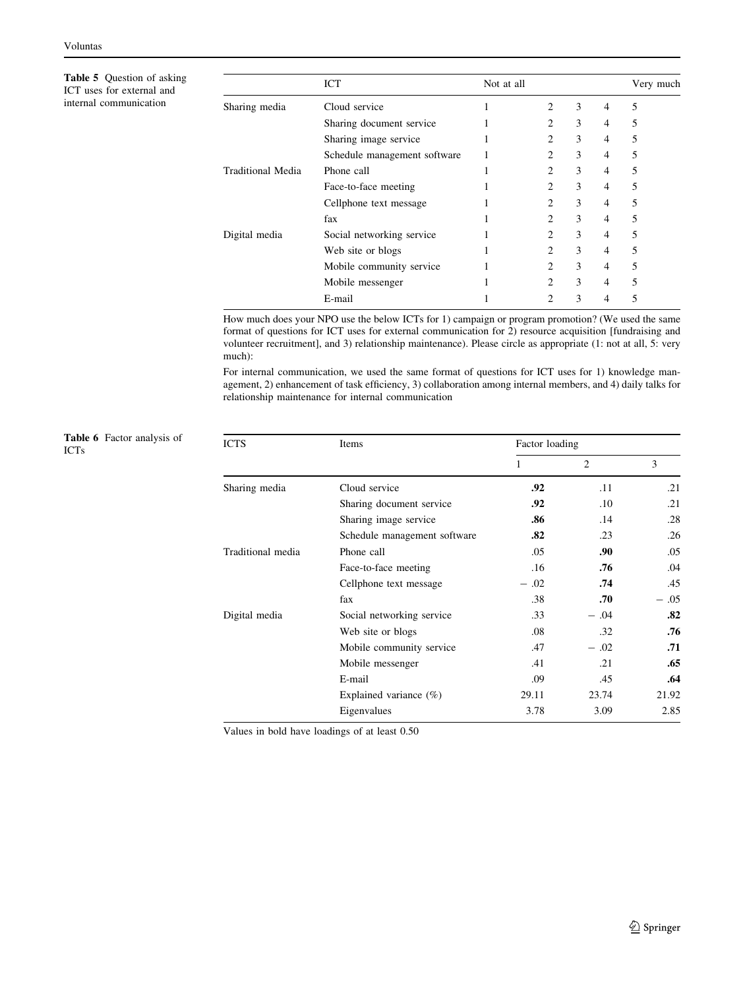<span id="page-12-0"></span>Table 5 Question of asking ICT uses for external and internal communication

Table 6 Factor analysis of ICTs

|                   | ICT                          | Not at all |                |   |   | Very much |
|-------------------|------------------------------|------------|----------------|---|---|-----------|
| Sharing media     | Cloud service                |            | 2              | 3 | 4 | 5         |
|                   | Sharing document service     |            | 2              | 3 | 4 | 5         |
|                   | Sharing image service        |            | 2              | 3 | 4 | 5         |
|                   | Schedule management software |            | 2              | 3 | 4 | 5         |
| Traditional Media | Phone call                   |            | 2              | 3 | 4 | 5         |
|                   | Face-to-face meeting         |            | 2              | 3 | 4 | 5         |
|                   | Cellphone text message       |            | 2              | 3 | 4 | 5         |
|                   | fax                          |            | 2              | 3 | 4 | 5         |
| Digital media     | Social networking service    |            | 2              | 3 | 4 | 5         |
|                   | Web site or blogs            |            | 2              | 3 | 4 | 5         |
|                   | Mobile community service     |            | $\overline{c}$ | 3 | 4 | 5         |
|                   | Mobile messenger             |            | 2              | 3 | 4 | 5         |
|                   | E-mail                       |            | 2              | 3 | 4 | 5         |

How much does your NPO use the below ICTs for 1) campaign or program promotion? (We used the same format of questions for ICT uses for external communication for 2) resource acquisition [fundraising and volunteer recruitment], and 3) relationship maintenance). Please circle as appropriate (1: not at all, 5: very much):

For internal communication, we used the same format of questions for ICT uses for 1) knowledge management, 2) enhancement of task efficiency, 3) collaboration among internal members, and 4) daily talks for relationship maintenance for internal communication

| Table 6 Factor analysis of<br>ICTs | <b>ICTS</b>       | Items                        | Factor loading |                |        |  |
|------------------------------------|-------------------|------------------------------|----------------|----------------|--------|--|
|                                    |                   |                              |                | $\overline{c}$ | 3      |  |
|                                    | Sharing media     | Cloud service                | .92            | .11            | .21    |  |
|                                    |                   | Sharing document service     | .92            | .10            | .21    |  |
|                                    |                   | Sharing image service        | .86            | .14            | .28    |  |
|                                    |                   | Schedule management software | .82            | .23            | .26    |  |
|                                    | Traditional media | Phone call                   | .05            | .90            | .05    |  |
|                                    |                   | Face-to-face meeting         | .16            | .76            | .04    |  |
|                                    |                   | Cellphone text message       | $-.02$         | .74            | .45    |  |
|                                    |                   | fax                          | .38            | .70            | $-.05$ |  |
|                                    | Digital media     | Social networking service    | .33            | $-.04$         | .82    |  |
|                                    |                   | Web site or blogs            | $.08\,$        | .32            | .76    |  |
|                                    |                   | Mobile community service     | .47            | $-.02$         | .71    |  |
|                                    |                   | Mobile messenger             | .41            | .21            | .65    |  |
|                                    |                   | E-mail                       | .09            | .45            | .64    |  |
|                                    |                   | Explained variance $(\%)$    | 29.11          | 23.74          | 21.92  |  |
|                                    |                   | Eigenvalues                  | 3.78           | 3.09           | 2.85   |  |

Values in bold have loadings of at least 0.50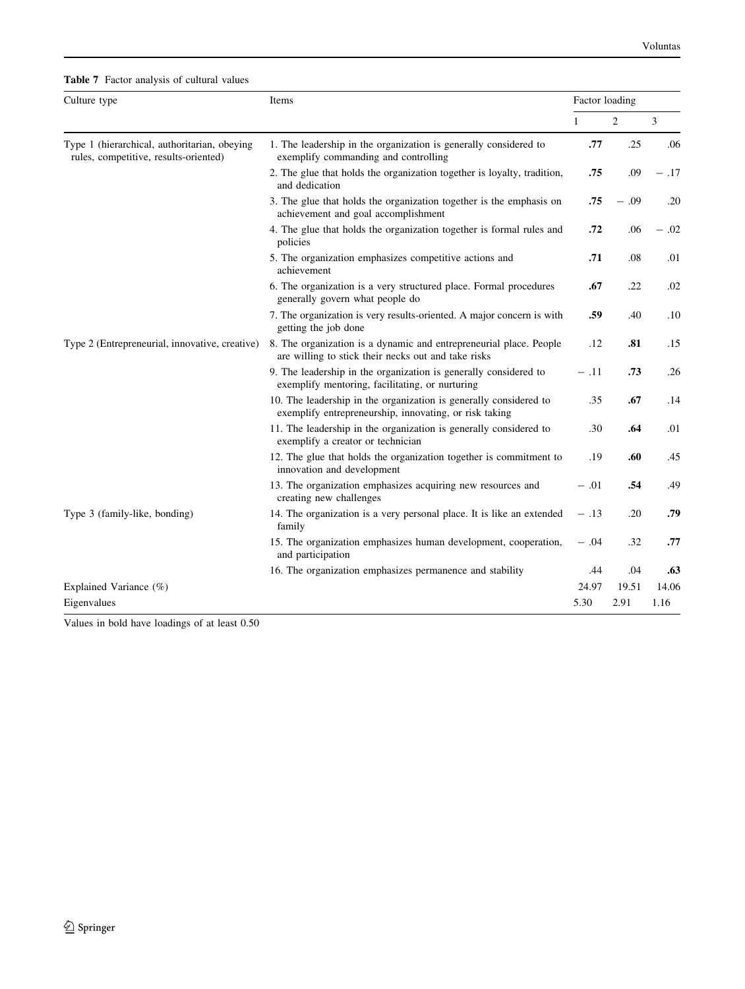<span id="page-13-0"></span>Table 7 Factor analysis of cultural values

| Culture type                                                                          | Items                                                                                                                       |              | Factor loading |       |  |
|---------------------------------------------------------------------------------------|-----------------------------------------------------------------------------------------------------------------------------|--------------|----------------|-------|--|
|                                                                                       |                                                                                                                             | $\mathbf{1}$ | 2              | 3     |  |
| Type 1 (hierarchical, authoritarian, obeying<br>rules, competitive, results-oriented) | 1. The leadership in the organization is generally considered to<br>exemplify commanding and controlling                    | .77          | .25            | .06   |  |
|                                                                                       | 2. The glue that holds the organization together is loyalty, tradition,<br>and dedication                                   | .75          | .09            | - .17 |  |
|                                                                                       | 3. The glue that holds the organization together is the emphasis on<br>achievement and goal accomplishment                  | .75          | - .09          | .20   |  |
|                                                                                       | 4. The glue that holds the organization together is formal rules and<br>policies                                            | .72          | .06            | - .02 |  |
|                                                                                       | 5. The organization emphasizes competitive actions and<br>achievement                                                       | .71          | .08            | .01   |  |
|                                                                                       | 6. The organization is a very structured place. Formal procedures<br>generally govern what people do                        |              | .22            | .02   |  |
|                                                                                       | 7. The organization is very results-oriented. A major concern is with<br>getting the job done                               | .59          | .40            | .10   |  |
| Type 2 (Entrepreneurial, innovative, creative)                                        | 8. The organization is a dynamic and entrepreneurial place. People<br>are willing to stick their necks out and take risks   | .12          | .81            | .15   |  |
|                                                                                       | 9. The leadership in the organization is generally considered to<br>exemplify mentoring, facilitating, or nurturing         | $-.11$       | .73            | .26   |  |
|                                                                                       | 10. The leadership in the organization is generally considered to<br>exemplify entrepreneurship, innovating, or risk taking | .35          | .67            | .14   |  |
|                                                                                       | 11. The leadership in the organization is generally considered to<br>exemplify a creator or technician                      | .30          | .64            | .01   |  |
|                                                                                       | 12. The glue that holds the organization together is commitment to<br>innovation and development                            | .19          | .60            | .45   |  |
|                                                                                       | 13. The organization emphasizes acquiring new resources and<br>creating new challenges                                      | $-.01$       | .54            | .49   |  |
| Type 3 (family-like, bonding)                                                         | 14. The organization is a very personal place. It is like an extended<br>family                                             | $-.13$       | .20            | .79   |  |
|                                                                                       | 15. The organization emphasizes human development, cooperation,<br>and participation                                        | $-.04$       | .32            | .77   |  |
|                                                                                       | 16. The organization emphasizes permanence and stability                                                                    | .44          | .04            | .63   |  |
| Explained Variance $(\%)$                                                             |                                                                                                                             | 24.97        | 19.51          | 14.06 |  |
| Eigenvalues                                                                           |                                                                                                                             | 5.30         | 2.91           | 1.16  |  |

Values in bold have loadings of at least 0.50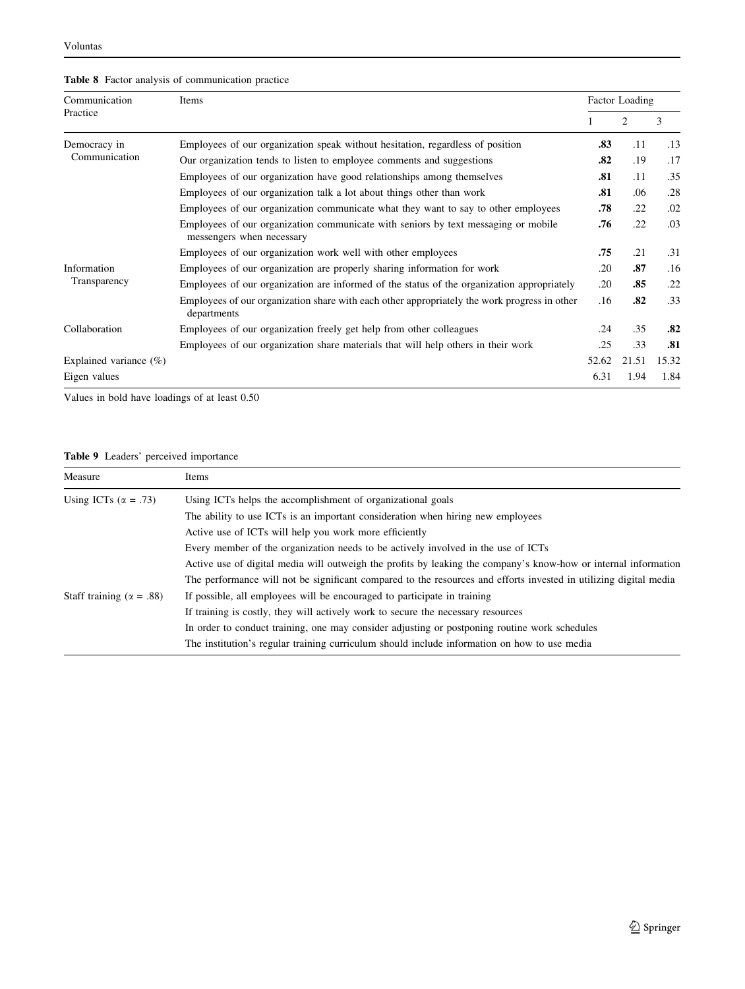# <span id="page-14-0"></span>Table 8 Factor analysis of communication practice

| Communication             | Items                                                                                                           |       |                             | Factor Loading |  |  |  |
|---------------------------|-----------------------------------------------------------------------------------------------------------------|-------|-----------------------------|----------------|--|--|--|
| Practice                  |                                                                                                                 |       | $\mathcal{D}_{\mathcal{L}}$ | 3              |  |  |  |
| Democracy in              | Employees of our organization speak without hesitation, regardless of position                                  | .83   | .11                         | .13            |  |  |  |
| Communication             | Our organization tends to listen to employee comments and suggestions                                           | .82   | .19                         | .17            |  |  |  |
|                           | Employees of our organization have good relationships among themselves                                          | .81   | .11                         | .35            |  |  |  |
|                           | Employees of our organization talk a lot about things other than work                                           | .81   | .06                         | .28            |  |  |  |
|                           | Employees of our organization communicate what they want to say to other employees                              | .78   | .22                         | .02            |  |  |  |
|                           | Employees of our organization communicate with seniors by text messaging or mobile<br>messengers when necessary |       | .22                         | .03            |  |  |  |
|                           | Employees of our organization work well with other employees                                                    | .75   | .21                         | .31            |  |  |  |
| Information               | Employees of our organization are properly sharing information for work                                         | .20   | .87                         | .16            |  |  |  |
| Transparency              | Employees of our organization are informed of the status of the organization appropriately                      | .20   | .85                         | .22            |  |  |  |
|                           | Employees of our organization share with each other appropriately the work progress in other<br>departments     | .16   | .82                         | .33            |  |  |  |
| Collaboration             | Employees of our organization freely get help from other colleagues                                             | .24   | .35                         | .82            |  |  |  |
|                           | Employees of our organization share materials that will help others in their work                               | .25   | .33                         | .81            |  |  |  |
| Explained variance $(\%)$ |                                                                                                                 | 52.62 | 21.51                       | 15.32          |  |  |  |
| Eigen values              |                                                                                                                 | 6.31  | 1.94                        | 1.84           |  |  |  |

Values in bold have loadings of at least 0.50

# Table 9 Leaders' perceived importance

| Measure                           | Items                                                                                                             |
|-----------------------------------|-------------------------------------------------------------------------------------------------------------------|
| Using ICTs ( $\alpha = .73$ )     | Using ICTs helps the accomplishment of organizational goals                                                       |
|                                   | The ability to use ICTs is an important consideration when hiring new employees                                   |
|                                   | Active use of ICTs will help you work more efficiently                                                            |
|                                   | Every member of the organization needs to be actively involved in the use of ICTs                                 |
|                                   | Active use of digital media will outweigh the profits by leaking the company's know-how or internal information   |
|                                   | The performance will not be significant compared to the resources and efforts invested in utilizing digital media |
| Staff training ( $\alpha = .88$ ) | If possible, all employees will be encouraged to participate in training                                          |
|                                   | If training is costly, they will actively work to secure the necessary resources                                  |
|                                   | In order to conduct training, one may consider adjusting or postponing routine work schedules                     |
|                                   | The institution's regular training curriculum should include information on how to use media                      |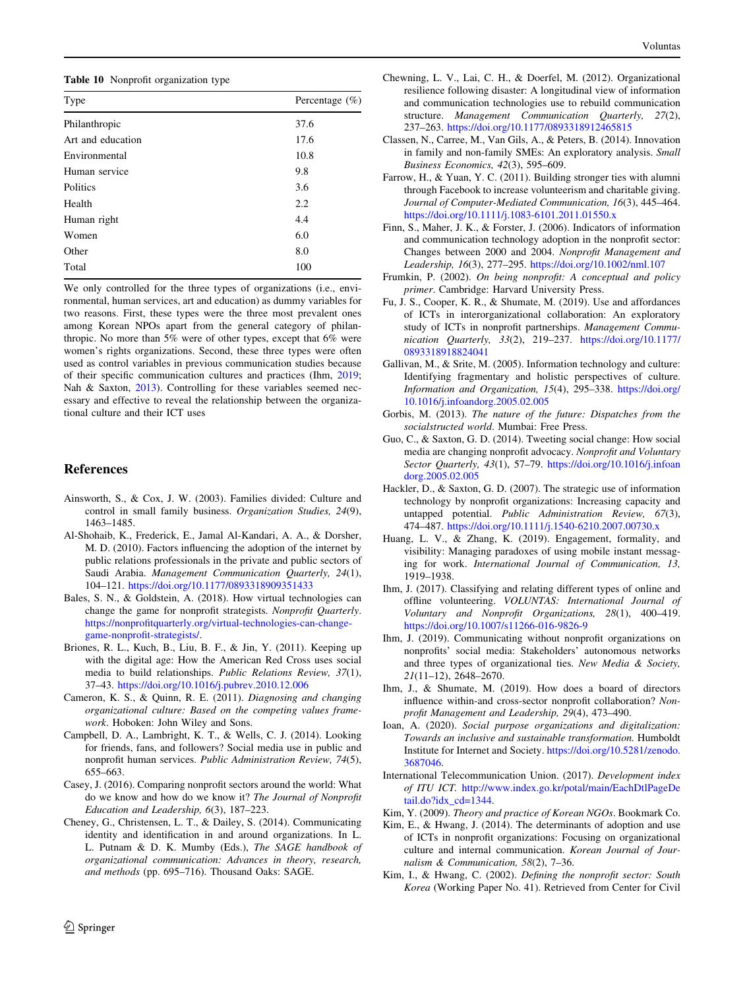<span id="page-15-0"></span>Table 10 Nonprofit organization type

| Type              | Percentage $(\%)$ |
|-------------------|-------------------|
| Philanthropic     | 37.6              |
| Art and education | 17.6              |
| Environmental     | 10.8              |
| Human service     | 9.8               |
| Politics          | 3.6               |
| Health            | 2.2               |
| Human right       | 4.4               |
| Women             | 6.0               |
| Other             | 8.0               |
| Total             | 100               |

We only controlled for the three types of organizations (i.e., environmental, human services, art and education) as dummy variables for two reasons. First, these types were the three most prevalent ones among Korean NPOs apart from the general category of philanthropic. No more than 5% were of other types, except that 6% were women's rights organizations. Second, these three types were often used as control variables in previous communication studies because of their specific communication cultures and practices (Ihm, 2019; Nah & Saxton, [2013](#page-16-0)). Controlling for these variables seemed necessary and effective to reveal the relationship between the organizational culture and their ICT uses

## References

- Ainsworth, S., & Cox, J. W. (2003). Families divided: Culture and control in small family business. Organization Studies, 24(9), 1463–1485.
- Al-Shohaib, K., Frederick, E., Jamal Al-Kandari, A. A., & Dorsher, M. D. (2010). Factors influencing the adoption of the internet by public relations professionals in the private and public sectors of Saudi Arabia. Management Communication Quarterly, 24(1), 104–121. <https://doi.org/10.1177/0893318909351433>
- Bales, S. N., & Goldstein, A. (2018). How virtual technologies can change the game for nonprofit strategists. Nonprofit Quarterly. [https://nonprofitquarterly.org/virtual-technologies-can-change](https://nonprofitquarterly.org/virtual-technologies-can-change-game-nonprofit-strategists/)[game-nonprofit-strategists/.](https://nonprofitquarterly.org/virtual-technologies-can-change-game-nonprofit-strategists/)
- Briones, R. L., Kuch, B., Liu, B. F., & Jin, Y. (2011). Keeping up with the digital age: How the American Red Cross uses social media to build relationships. Public Relations Review, 37(1), 37–43. <https://doi.org/10.1016/j.pubrev.2010.12.006>
- Cameron, K. S., & Quinn, R. E. (2011). Diagnosing and changing organizational culture: Based on the competing values framework. Hoboken: John Wiley and Sons.
- Campbell, D. A., Lambright, K. T., & Wells, C. J. (2014). Looking for friends, fans, and followers? Social media use in public and nonprofit human services. Public Administration Review, 74(5), 655–663.
- Casey, J. (2016). Comparing nonprofit sectors around the world: What do we know and how do we know it? The Journal of Nonprofit Education and Leadership, 6(3), 187–223.
- Cheney, G., Christensen, L. T., & Dailey, S. (2014). Communicating identity and identification in and around organizations. In L. L. Putnam & D. K. Mumby (Eds.), The SAGE handbook of organizational communication: Advances in theory, research, and methods (pp. 695–716). Thousand Oaks: SAGE.
- Chewning, L. V., Lai, C. H., & Doerfel, M. (2012). Organizational resilience following disaster: A longitudinal view of information and communication technologies use to rebuild communication structure. Management Communication Quarterly, 27(2), 237–263. <https://doi.org/10.1177/0893318912465815>
- Classen, N., Carree, M., Van Gils, A., & Peters, B. (2014). Innovation in family and non-family SMEs: An exploratory analysis. Small Business Economics, 42(3), 595–609.
- Farrow, H., & Yuan, Y. C. (2011). Building stronger ties with alumni through Facebook to increase volunteerism and charitable giving. Journal of Computer-Mediated Communication, 16(3), 445–464. <https://doi.org/10.1111/j.1083-6101.2011.01550.x>
- Finn, S., Maher, J. K., & Forster, J. (2006). Indicators of information and communication technology adoption in the nonprofit sector: Changes between 2000 and 2004. Nonprofit Management and Leadership, 16(3), 277–295. <https://doi.org/10.1002/nml.107>
- Frumkin, P. (2002). On being nonprofit: A conceptual and policy primer. Cambridge: Harvard University Press.
- Fu, J. S., Cooper, K. R., & Shumate, M. (2019). Use and affordances of ICTs in interorganizational collaboration: An exploratory study of ICTs in nonprofit partnerships. Management Communication Quarterly, 33(2), 219–237. [https://doi.org/10.1177/](https://doi.org/10.1177/0893318918824041) [0893318918824041](https://doi.org/10.1177/0893318918824041)
- Gallivan, M., & Srite, M. (2005). Information technology and culture: Identifying fragmentary and holistic perspectives of culture. Information and Organization, 15(4), 295–338. [https://doi.org/](https://doi.org/10.1016/j.infoandorg.2005.02.005) [10.1016/j.infoandorg.2005.02.005](https://doi.org/10.1016/j.infoandorg.2005.02.005)
- Gorbis, M. (2013). The nature of the future: Dispatches from the socialstructed world. Mumbai: Free Press.
- Guo, C., & Saxton, G. D. (2014). Tweeting social change: How social media are changing nonprofit advocacy. Nonprofit and Voluntary Sector Quarterly, 43(1), 57-79. [https://doi.org/10.1016/j.infoan](https://doi.org/10.1016/j.infoandorg.2005.02.005) [dorg.2005.02.005](https://doi.org/10.1016/j.infoandorg.2005.02.005)
- Hackler, D., & Saxton, G. D. (2007). The strategic use of information technology by nonprofit organizations: Increasing capacity and untapped potential. Public Administration Review, 67(3), 474–487. <https://doi.org/10.1111/j.1540-6210.2007.00730.x>
- Huang, L. V., & Zhang, K. (2019). Engagement, formality, and visibility: Managing paradoxes of using mobile instant messaging for work. International Journal of Communication, 13, 1919–1938.
- Ihm, J. (2017). Classifying and relating different types of online and offline volunteering. VOLUNTAS: International Journal of Voluntary and Nonprofit Organizations, 28(1), 400–419. <https://doi.org/10.1007/s11266-016-9826-9>
- Ihm, J. (2019). Communicating without nonprofit organizations on nonprofits' social media: Stakeholders' autonomous networks and three types of organizational ties. New Media & Society, 21(11–12), 2648–2670.
- Ihm, J., & Shumate, M. (2019). How does a board of directors influence within-and cross-sector nonprofit collaboration? Nonprofit Management and Leadership, 29(4), 473–490.
- Ioan, A. (2020). Social purpose organizations and digitalization: Towards an inclusive and sustainable transformation. Humboldt Institute for Internet and Society. [https://doi.org/10.5281/zenodo.](https://doi.org/10.5281/zenodo.3687046) [3687046.](https://doi.org/10.5281/zenodo.3687046)
- International Telecommunication Union. (2017). Development index of ITU ICT. [http://www.index.go.kr/potal/main/EachDtlPageDe](http://www.index.go.kr/potal/main/EachDtlPageDetail.do?idx_cd=1344) [tail.do?idx\\_cd=1344](http://www.index.go.kr/potal/main/EachDtlPageDetail.do?idx_cd=1344).
- Kim, Y. (2009). Theory and practice of Korean NGOs. Bookmark Co.
- Kim, E., & Hwang, J. (2014). The determinants of adoption and use of ICTs in nonprofit organizations: Focusing on organizational culture and internal communication. Korean Journal of Journalism & Communication, 58(2), 7–36.
- Kim, I., & Hwang, C. (2002). Defining the nonprofit sector: South Korea (Working Paper No. 41). Retrieved from Center for Civil